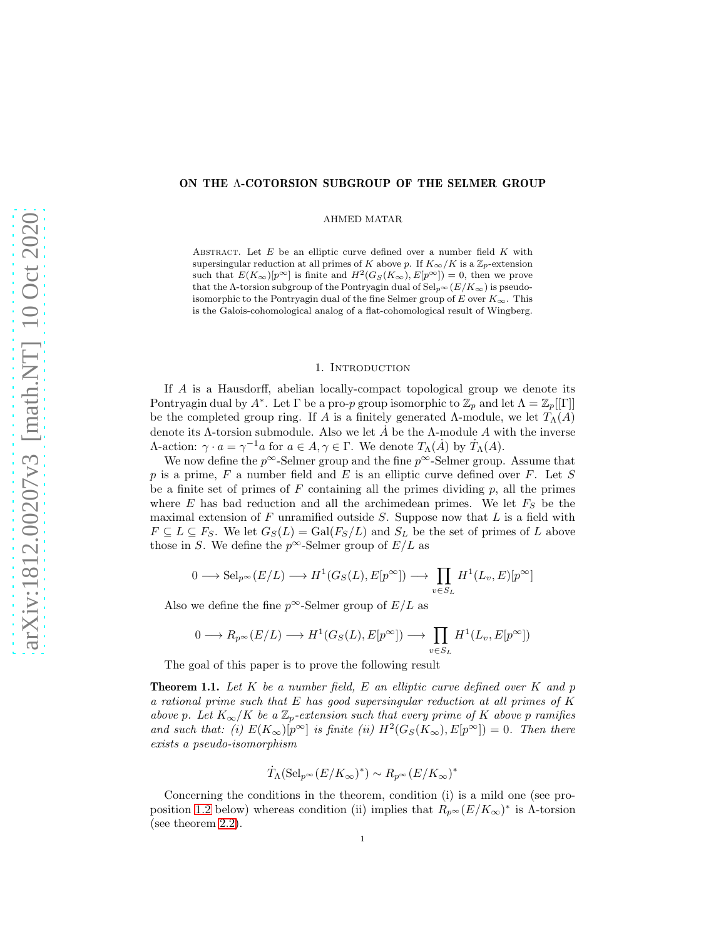# ON THE Λ-COTORSION SUBGROUP OF THE SELMER GROUP

AHMED MATAR

ABSTRACT. Let  $E$  be an elliptic curve defined over a number field  $K$  with supersingular reduction at all primes of K above p. If  $K_{\infty}/K$  is a  $\mathbb{Z}_p$ -extension such that  $E(K_{\infty})[p^{\infty}]$  is finite and  $H^2(G_S(K_{\infty}), E[p^{\infty}]) = 0$ , then we prove that the Λ-torsion subgroup of the Pontryagin dual of  $\text{Sel}_{p^{\infty}}(E/K_{\infty})$  is pseudoisomorphic to the Pontryagin dual of the fine Selmer group of E over  $K_{\infty}$ . This is the Galois-cohomological analog of a flat-cohomological result of Wingberg.

## 1. INTRODUCTION

If A is a Hausdorff, abelian locally-compact topological group we denote its Pontryagin dual by  $A^*$ . Let  $\Gamma$  be a pro-p group isomorphic to  $\mathbb{Z}_p$  and let  $\Lambda = \mathbb{Z}_p[[\Gamma]]$ be the completed group ring. If A is a finitely generated  $\Lambda$ -module, we let  $T_{\Lambda}(A)$ denote its  $\Lambda$ -torsion submodule. Also we let  $\dot{A}$  be the  $\Lambda$ -module A with the inverse Λ-action:  $\gamma \cdot a = \gamma^{-1}a$  for  $a \in A, \gamma \in Γ$ . We denote  $T_{\Lambda}(A)$  by  $T_{\Lambda}(A)$ .

We now define the  $p^{\infty}$ -Selmer group and the fine  $p^{\infty}$ -Selmer group. Assume that p is a prime,  $F$  a number field and  $E$  is an elliptic curve defined over  $F$ . Let  $S$ be a finite set of primes of  $F$  containing all the primes dividing  $p$ , all the primes where E has bad reduction and all the archimedean primes. We let  $F_S$  be the maximal extension of  $F$  unramified outside  $S$ . Suppose now that  $L$  is a field with  $F \subseteq L \subseteq F_S$ . We let  $G_S(L) = \text{Gal}(F_S/L)$  and  $S_L$  be the set of primes of L above those in S. We define the  $p^{\infty}$ -Selmer group of  $E/L$  as

$$
0 \longrightarrow \mathrm{Sel}_{p^{\infty}}(E/L) \longrightarrow H^{1}(G_{S}(L), E[p^{\infty}]) \longrightarrow \prod_{v \in S_{L}} H^{1}(L_{v}, E)[p^{\infty}]
$$

Also we define the fine  $p^{\infty}$ -Selmer group of  $E/L$  as

$$
0\longrightarrow R_{p^{\infty}}(E/L)\longrightarrow H^1(G_S(L), E[p^{\infty}])\longrightarrow \prod_{v\in S_L} H^1(L_v, E[p^{\infty}])
$$

The goal of this paper is to prove the following result

<span id="page-0-0"></span>Theorem 1.1. *Let* K *be a number field,* E *an elliptic curve defined over* K *and* p *a rational prime such that* E *has good supersingular reduction at all primes of* K *above* p. Let  $K_{\infty}/K$  be a  $\mathbb{Z}_p$ -extension such that every prime of K above p ramifies and such that: (i)  $E(K_{\infty})[p^{\infty}]$  is finite (ii)  $H^2(G_S(K_{\infty}), E[p^{\infty}]) = 0$ . Then there *exists a pseudo-isomorphism*

$$
\dot{T}_{\Lambda}(\mathrm{Sel}_{p^{\infty}}(E/K_{\infty})^*) \sim R_{p^{\infty}}(E/K_{\infty})^*
$$

Concerning the conditions in the theorem, condition (i) is a mild one (see pro-position [1.2](#page-2-0) below) whereas condition (ii) implies that  $R_{p^{\infty}}(E/K_{\infty})^*$  is  $\Lambda$ -torsion (see theorem [2.2\)](#page-3-0).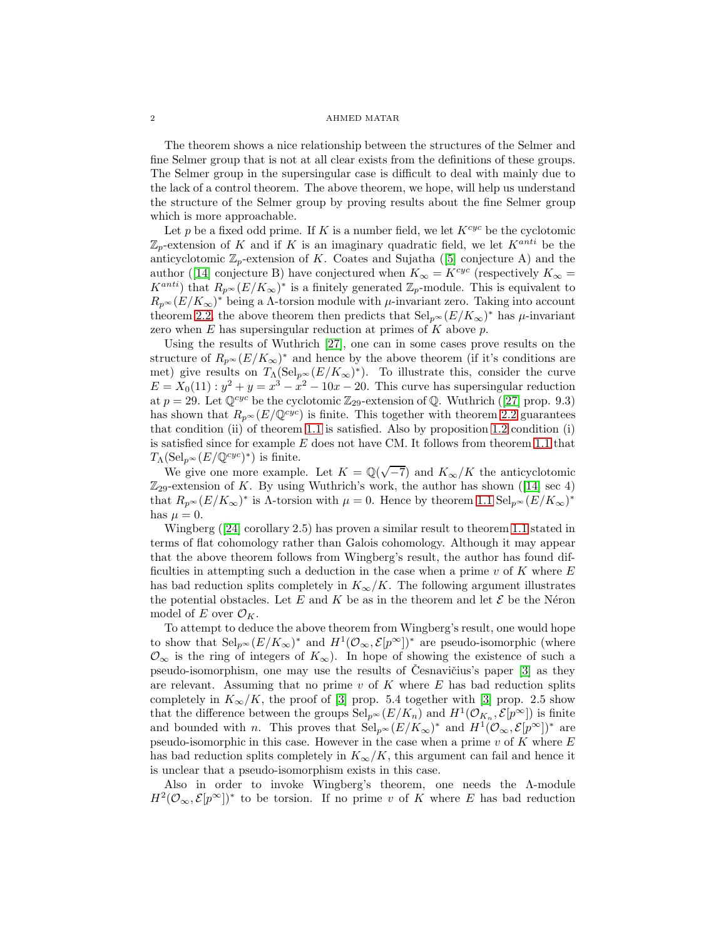The theorem shows a nice relationship between the structures of the Selmer and fine Selmer group that is not at all clear exists from the definitions of these groups. The Selmer group in the supersingular case is difficult to deal with mainly due to the lack of a control theorem. The above theorem, we hope, will help us understand the structure of the Selmer group by proving results about the fine Selmer group which is more approachable.

Let p be a fixed odd prime. If K is a number field, we let  $K^{cyc}$  be the cyclotomic  $\mathbb{Z}_p$ -extension of K and if K is an imaginary quadratic field, we let  $K^{anti}$  be the anticyclotomic $\mathbb{Z}_p$ -extension of K. Coates and Sujatha ([\[5\]](#page-19-0) conjecture A) and the author([\[14\]](#page-19-1) conjecture B) have conjectured when  $K_{\infty} = K^{cyc}$  (respectively  $K_{\infty} =$  $K^{anti}$ ) that  $R_{p^{\infty}}(E/K_{\infty})^*$  is a finitely generated  $\mathbb{Z}_p$ -module. This is equivalent to  $R_p \propto (E/K_\infty)^*$  being a  $\Lambda$ -torsion module with  $\mu$ -invariant zero. Taking into account theorem [2.2,](#page-3-0) the above theorem then predicts that  $\text{Sel}_{p^{\infty}}(E/K_{\infty})^*$  has  $\mu$ -invariant zero when  $E$  has supersingular reduction at primes of  $K$  above  $p$ .

Using the results of Wuthrich [\[27\]](#page-20-0), one can in some cases prove results on the structure of  $R_{p^{\infty}}(E/K_{\infty})^*$  and hence by the above theorem (if it's conditions are met) give results on  $T_{\Lambda}(\text{Sel}_{p^{\infty}}(E/K_{\infty})^*)$ . To illustrate this, consider the curve  $E = X_0(11)$ :  $y^2 + y = x^3 - x^2 - 10x - 20$ . This curve has supersingular reduction at $p = 29$ . Let  $\mathbb{Q}^{cyc}$  be the cyclotomic  $\mathbb{Z}_{29}$ -extension of  $\mathbb{Q}$ . Wuthrich ([\[27\]](#page-20-0) prop. 9.3) has shown that  $R_{p^{\infty}}(E/\mathbb{Q}^{cyc})$  is finite. This together with theorem [2.2](#page-3-0) guarantees that condition (ii) of theorem [1.1](#page-0-0) is satisfied. Also by proposition [1.2](#page-2-0) condition (i) is satisfied since for example  $E$  does not have CM. It follows from theorem [1.1](#page-0-0) that  $T_{\Lambda}(\text{Sel}_{p^{\infty}}(E/\mathbb{Q}^{cyc})^*)$  is finite.

We give one more example. Let  $K = \mathbb{Q}(\sqrt{-7})$  and  $K_{\infty}/K$  the anticyclotomic  $\mathbb{Z}_{29}$ -extensionof K. By using Wuthrich's work, the author has shown ([\[14\]](#page-19-1) sec 4) that  $R_{p^{\infty}}(E/K_{\infty})^*$  is  $\Lambda$ -torsion with  $\mu = 0$ . Hence by theorem [1.1](#page-0-0)  $\text{Sel}_{p^{\infty}}(E/K_{\infty})^*$ has  $\mu = 0$ .

Wingberg([\[24\]](#page-20-1) corollary 2.5) has proven a similar result to theorem [1.1](#page-0-0) stated in terms of flat cohomology rather than Galois cohomology. Although it may appear that the above theorem follows from Wingberg's result, the author has found difficulties in attempting such a deduction in the case when a prime  $v$  of K where E has bad reduction splits completely in  $K_{\infty}/K$ . The following argument illustrates the potential obstacles. Let E and K be as in the theorem and let  $\mathcal E$  be the Néron model of E over  $\mathcal{O}_K$ .

To attempt to deduce the above theorem from Wingberg's result, one would hope to show that  $\text{Sel}_{p^{\infty}}(E/K_{\infty})^*$  and  $H^1(\mathcal{O}_{\infty}, \mathcal{E}[p^{\infty}])^*$  are pseudo-isomorphic (where  $\mathcal{O}_{\infty}$  is the ring of integers of  $K_{\infty}$ ). In hope of showing the existence of such a pseudo-isomorphism, one may use the results of Česnavičius's paper  $[3]$  as they are relevant. Assuming that no prime  $v$  of  $K$  where  $E$  has bad reduction splits completely in  $K_{\infty}/K$ , the proof of [\[3\]](#page-19-2) prop. 5.4 together with [3] prop. 2.5 show that the difference between the groups  $\text{Sel}_{p^{\infty}}(E/K_n)$  and  $H^1(\mathcal{O}_{K_n}, \mathcal{E}[p^{\infty}])$  is finite and bounded with n. This proves that  $\text{Sel}_{p^{\infty}}(E/K_{\infty})^*$  and  $H^1(\mathcal{O}_{\infty}, \mathcal{E}[p^{\infty}])^*$  are pseudo-isomorphic in this case. However in the case when a prime  $v$  of  $K$  where  $E$ has bad reduction splits completely in  $K_{\infty}/K$ , this argument can fail and hence it is unclear that a pseudo-isomorphism exists in this case.

Also in order to invoke Wingberg's theorem, one needs the Λ-module  $H^2(\mathcal{O}_{\infty}, \mathcal{E}[p^{\infty}])^*$  to be torsion. If no prime v of K where E has bad reduction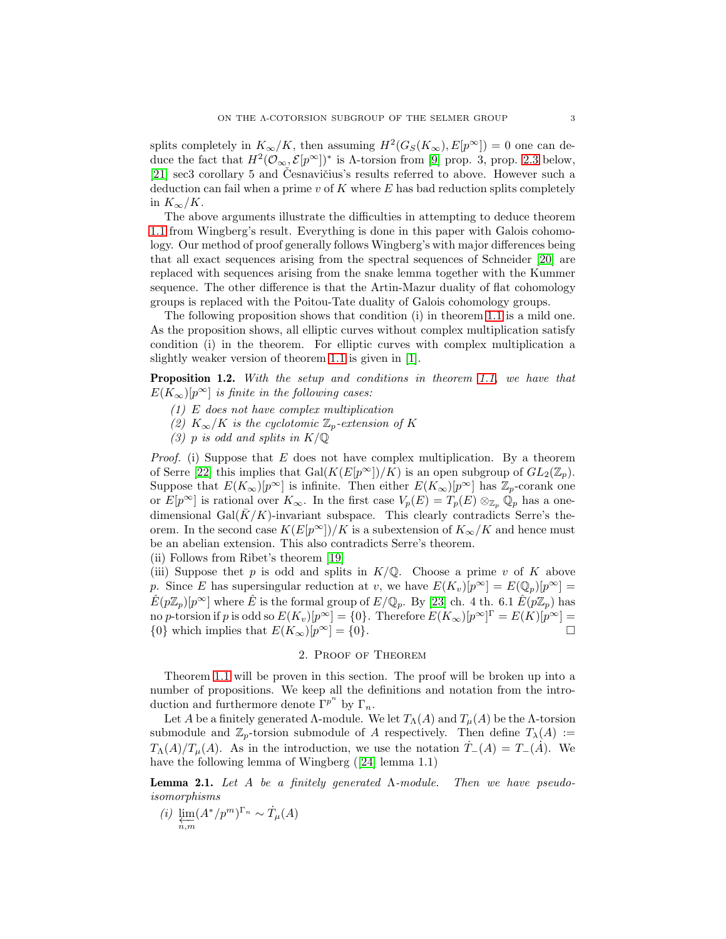splits completely in  $K_{\infty}/K$ , then assuming  $H^2(G_S(K_{\infty}), E[p^{\infty}]) = 0$  one can deduce the fact that  $H^2(\mathcal{O}_{\infty}, \mathcal{E}[p^\infty])^*$  is  $\Lambda$ -torsion from [\[9\]](#page-19-3) prop. 3, prop. [2.3](#page-6-0) below, [\[21\]](#page-19-4) sec3 corollary 5 and Česnavičius's results referred to above. However such a deduction can fail when a prime  $v$  of  $K$  where  $E$  has bad reduction splits completely in  $K_{\infty}/K$ .

The above arguments illustrate the difficulties in attempting to deduce theorem [1.1](#page-0-0) from Wingberg's result. Everything is done in this paper with Galois cohomology. Our method of proof generally follows Wingberg's with major differences being that all exact sequences arising from the spectral sequences of Schneider [\[20\]](#page-19-5) are replaced with sequences arising from the snake lemma together with the Kummer sequence. The other difference is that the Artin-Mazur duality of flat cohomology groups is replaced with the Poitou-Tate duality of Galois cohomology groups.

The following proposition shows that condition (i) in theorem [1.1](#page-0-0) is a mild one. As the proposition shows, all elliptic curves without complex multiplication satisfy condition (i) in the theorem. For elliptic curves with complex multiplication a slightly weaker version of theorem [1.1](#page-0-0) is given in [\[1\]](#page-19-6).

<span id="page-2-0"></span>Proposition 1.2. *With the setup and conditions in theorem [1.1,](#page-0-0) we have that*  $E(K_{\infty})[p^{\infty}]$  *is finite in the following cases:* 

- *(1)* E *does not have complex multiplication*
- *(2)*  $K_{\infty}/K$  *is the cyclotomic*  $\mathbb{Z}_p$ -extension of K
- *(3)* p *is odd and splits in* K/Q

*Proof.* (i) Suppose that E does not have complex multiplication. By a theorem of Serre [\[22\]](#page-20-2) this implies that Gal $(K(E[p^{\infty}])/K)$  is an open subgroup of  $GL_2(\mathbb{Z}_p)$ . Suppose that  $E(K_{\infty})[p^{\infty}]$  is infinite. Then either  $E(K_{\infty})[p^{\infty}]$  has  $\mathbb{Z}_p$ -corank one or  $E[p^{\infty}]$  is rational over  $K_{\infty}$ . In the first case  $V_p(E) = T_p(E) \otimes_{\mathbb{Z}_p} \mathbb{Q}_p$  has a onedimensional Gal $(K/K)$ -invariant subspace. This clearly contradicts Serre's theorem. In the second case  $K(E[p^{\infty}])/K$  is a subextension of  $K_{\infty}/K$  and hence must be an abelian extension. This also contradicts Serre's theorem.

(ii) Follows from Ribet's theorem [\[19\]](#page-19-7)

(iii) Suppose thet p is odd and splits in  $K/\mathbb{Q}$ . Choose a prime v of K above p. Since E has supersingular reduction at v, we have  $E(K_v)[p^{\infty}] = E(\mathbb{Q}_p)[p^{\infty}] =$  $\hat{E}(p\mathbb{Z}_p)[p^{\infty}]$  where  $\hat{E}$  is the formal group of  $E/\mathbb{Q}_p$ . By [\[23\]](#page-20-3) ch. 4 th. 6.1  $\hat{E}(p\mathbb{Z}_p)$  has no p-torsion if p is odd so  $E(K_v)[p^{\infty}] = \{0\}$ . Therefore  $E(K_{\infty})[p^{\infty}]^{\Gamma} = E(K)[p^{\infty}] =$ {0} which implies that  $E(K_{\infty})[p^{\infty}] = \{0\}.$ 

# 2. Proof of Theorem

Theorem [1.1](#page-0-0) will be proven in this section. The proof will be broken up into a number of propositions. We keep all the definitions and notation from the introduction and furthermore denote  $\Gamma^{p^n}$  by  $\Gamma_n$ .

Let A be a finitely generated Λ-module. We let  $T_{\Lambda}(A)$  and  $T_{\mu}(A)$  be the Λ-torsion submodule and  $\mathbb{Z}_p$ -torsion submodule of A respectively. Then define  $T_\lambda(A) :=$  $T_{\Lambda}(A)/T_{\mu}(A)$ . As in the introduction, we use the notation  $T_{-}(A) = T_{-}(A)$ . We have the following lemma of Wingberg([\[24\]](#page-20-1) lemma 1.1)

<span id="page-2-1"></span>Lemma 2.1. *Let* A *be a finitely generated* Λ*-module. Then we have pseudoisomorphisms*

*(i)* lim ←−n,m  $(A^*/p^m)^{\Gamma_n} \sim \dot{T}_\mu(A)$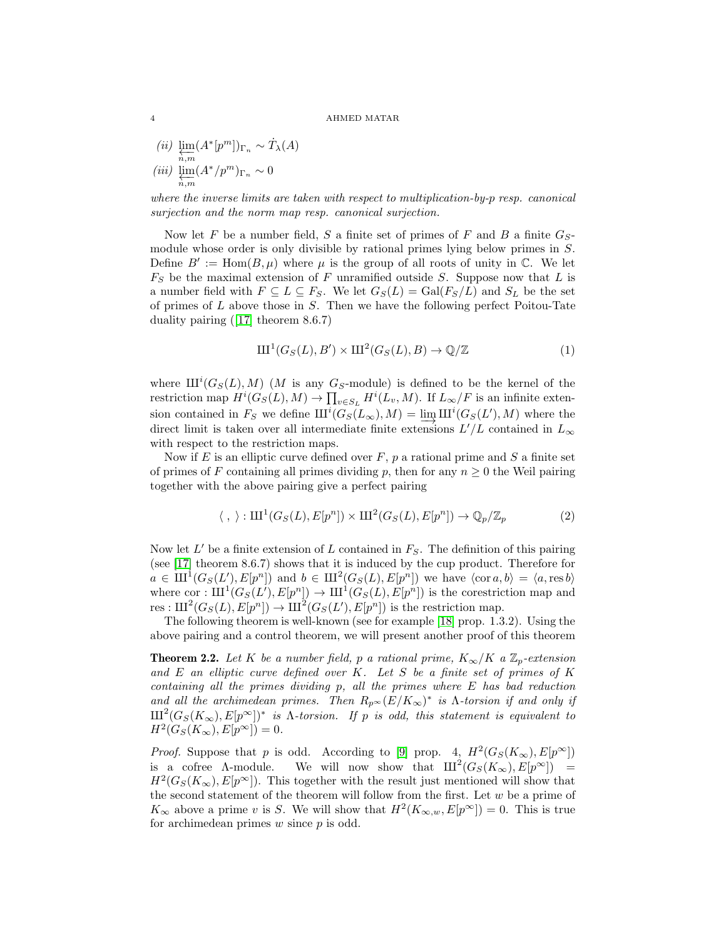*(ii)* lim ←−n,m  $(A^*[p^m])_{\Gamma_n} \sim \dot{T}_\lambda(A)$ *(iii)* lim  $\varprojlim_{n,m} (A^*/p^m)_{\Gamma_n} \sim 0$ 

*where the inverse limits are taken with respect to multiplication-by-*p *resp. canonical surjection and the norm map resp. canonical surjection.*

Now let F be a number field, S a finite set of primes of F and B a finite  $G_S$ module whose order is only divisible by rational primes lying below primes in S. Define  $B' := \text{Hom}(B, \mu)$  where  $\mu$  is the group of all roots of unity in  $\mathbb{C}$ . We let  $F<sub>S</sub>$  be the maximal extension of F unramified outside S. Suppose now that L is a number field with  $F \subseteq L \subseteq F_S$ . We let  $G_S(L) = \text{Gal}(F_S/L)$  and  $S_L$  be the set of primes of  $L$  above those in  $S$ . Then we have the following perfect Poitou-Tate duality pairing([\[17\]](#page-19-8) theorem 8.6.7)

$$
\mathrm{III}^1(G_S(L), B') \times \mathrm{III}^2(G_S(L), B) \to \mathbb{Q}/\mathbb{Z}
$$
 (1)

where  $III^{i}(G_{S}(L), M)$  (M is any  $G_{S}$ -module) is defined to be the kernel of the restriction map  $H^i(G_S(L), M) \to \prod_{v \in S_L} H^i(L_v, M)$ . If  $L_\infty/F$  is an infinite extension contained in  $F_S$  we define  $\text{III}^i(G_S(L_\infty), M) = \lim_{K \to \infty} \text{III}^i(G_S(L'), M)$  where the direct limit is taken over all intermediate finite extensions  $L'/L$  contained in  $L$ direct limit is taken over all intermediate finite extensions  $L'/L$  contained in  $L_{\infty}$ with respect to the restriction maps.

Now if  $E$  is an elliptic curve defined over  $F$ ,  $p$  a rational prime and  $S$  a finite set of primes of F containing all primes dividing p, then for any  $n \geq 0$  the Weil pairing together with the above pairing give a perfect pairing

<span id="page-3-1"></span>
$$
\langle , \rangle: \mathrm{III}^1(G_S(L), E[p^n]) \times \mathrm{III}^2(G_S(L), E[p^n]) \to \mathbb{Q}_p/\mathbb{Z}_p \tag{2}
$$

Now let  $L'$  be a finite extension of L contained in  $F_S$ . The definition of this pairing (see [\[17\]](#page-19-8) theorem 8.6.7) shows that it is induced by the cup product. Therefore for  $a \in \mathrm{III}^1(G_S(L'), E[p^n])$  and  $b \in \mathrm{III}^2(G_S(L), E[p^n])$  we have  $\langle \mathrm{cor} a, b \rangle = \langle a, \mathrm{res} b \rangle$ where cor :  $\mathrm{III}^1(G_S(L), E[p^n]) \to \mathrm{III}^1(G_S(L), E[p^n])$  is the corestriction map and res :  $\mathrm{III}^2(G_S(L), E[p^n]) \to \mathrm{III}^2(G_S(L'), E[p^n])$  is the restriction map.

The following theorem is well-known (see for example [\[18\]](#page-19-9) prop. 1.3.2). Using the above pairing and a control theorem, we will present another proof of this theorem

<span id="page-3-0"></span>**Theorem 2.2.** Let K be a number field, p a rational prime,  $K_{\infty}/K$  a  $\mathbb{Z}_p$ -extension *and* E *an elliptic curve defined over* K*. Let* S *be a finite set of primes of* K *containing all the primes dividing* p*, all the primes where* E *has bad reduction* and all the archimedean primes. Then  $R_{p^{\infty}}(E/K_{\infty})^*$  is  $\Lambda$ -torsion if and only if  $\mathrm{III}^2(G_S(K_\infty), E[p^\infty])^*$  *is*  $\Lambda$ -torsion. If p *is odd, this statement is equivalent to*  $H^2(G_S(K_{\infty}), E[p^{\infty}]) = 0.$ 

*Proof.* Suppose that p is odd. According to [\[9\]](#page-19-3) prop. 4,  $H^2(G_S(K_\infty), E[p^\infty])$ is a cofree  $\Lambda$ -module. We will now show that  $III^2(G_S(K_{\infty}), E[p^{\infty}]) =$  $H^2(G_S(K_\infty), E[p^\infty])$ . This together with the result just mentioned will show that the second statement of the theorem will follow from the first. Let  $w$  be a prime of  $K_{\infty}$  above a prime v is S. We will show that  $H^2(K_{\infty,w}, E[p^{\infty}]) = 0$ . This is true for archimedean primes  $w$  since  $p$  is odd.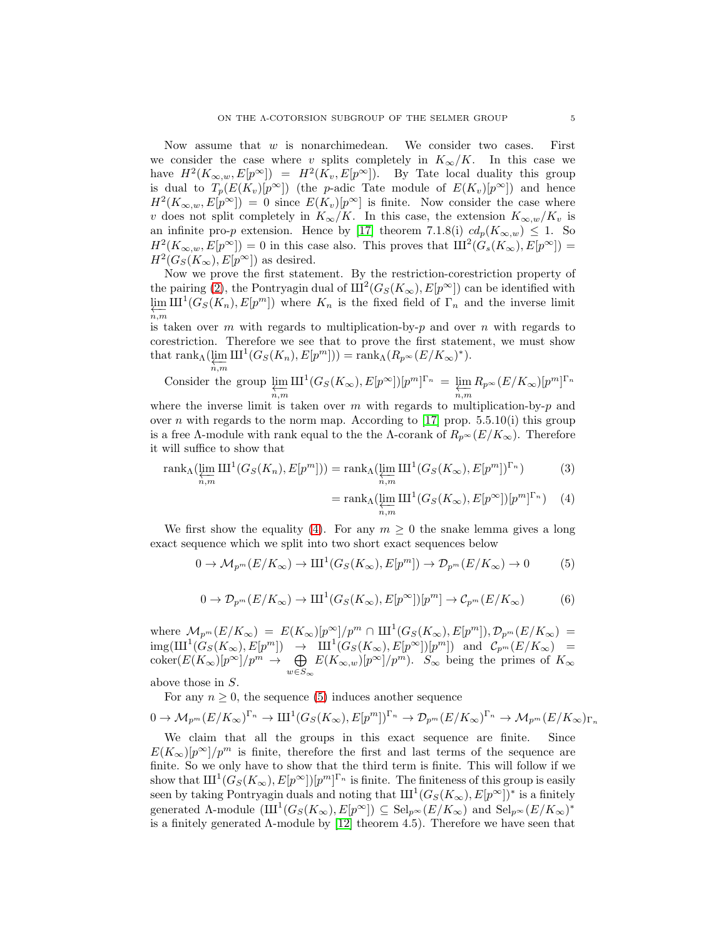Now assume that  $w$  is nonarchimedean. We consider two cases. First we consider the case where v splits completely in  $K_{\infty}/K$ . In this case we have  $H^2(K_{\infty,w}, E[p^{\infty}]) = H^2(K_v, E[p^{\infty}])$ . By Tate local duality this group is dual to  $T_p(E(K_v)[p^{\infty}])$  (the p-adic Tate module of  $E(K_v)[p^{\infty}])$  and hence  $H^2(K_{\infty,w}, E[p^{\infty}]) = 0$  since  $E(K_v)[p^{\infty}]$  is finite. Now consider the case where v does not split completely in  $K_{\infty}/K$ . In this case, the extension  $K_{\infty,w}/K_v$  is an infinite pro-p extension. Hence by [\[17\]](#page-19-8) theorem 7.1.8(i)  $cd_p(K_{\infty,w}) \leq 1$ . So  $H^2(K_{\infty,w}, E[p^{\infty}]) = 0$  in this case also. This proves that  $\text{III}^2(G_s(K_{\infty}), E[p^{\infty}]) = 0$  $H^2(G_S(K_\infty), E[p^\infty])$  as desired.

Now we prove the first statement. By the restriction-corestriction property of the pairing [\(2\)](#page-3-1), the Pontryagin dual of  $\text{III}^2(G_S(K_\infty), E[p^\infty])$  can be identified with  $\varprojlim \text{III}^1(G_S(K_n), E[p^m])$  where  $K_n$  is the fixed field of  $\Gamma_n$  and the inverse limit  $n, m$ 

is taken over m with regards to multiplication-by-p and over n with regards to corestriction. Therefore we see that to prove the first statement, we must show that  $\operatorname{rank}_{\Lambda}(\varprojlim_{n,m} \amalg^1(G_S(K_n), E[p^m])) = \operatorname{rank}_{\Lambda}(R_{p^{\infty}}(E/K_{\infty})^*).$ 

Consider the group 
$$
\varprojlim_{n,m} \text{III}^1(G_S(K_\infty), E[p^\infty])[p^m]^{\Gamma_n} = \varprojlim_{n,m} R_{p^\infty}(E/K_\infty)[p^m]^{\Gamma_n}
$$

where the inverse limit is taken over m with regards to multiplication-by-p and over n with regards to the norm map. According to [\[17\]](#page-19-8) prop. 5.5.10(i) this group is a free Λ-module with rank equal to the the Λ-corank of  $R_{p^{\infty}}(E/K_{\infty})$ . Therefore it will suffice to show that

$$
\operatorname{rank}_{\Lambda}(\varprojlim_{n,m} \mathrm{III}^1(G_S(K_n), E[p^m])) = \operatorname{rank}_{\Lambda}(\varprojlim_{n,m} \mathrm{III}^1(G_S(K_{\infty}), E[p^m])^{\Gamma_n})
$$
(3)

<span id="page-4-3"></span><span id="page-4-0"></span>
$$
= \operatorname{rank}_{\Lambda}(\underleftarrow{\lim}_{n,m} \amalg \mathbf{1} \mathbf{1}(G_S(K_{\infty}), E[p^{\infty}])[p^m]^{\Gamma_n}) \quad (4)
$$

We first show the equality [\(4\)](#page-4-0). For any  $m \geq 0$  the snake lemma gives a long exact sequence which we split into two short exact sequences below

<span id="page-4-1"></span>
$$
0 \to \mathcal{M}_{p^m}(E/K_\infty) \to \mathrm{III}^1(G_S(K_\infty), E[p^m]) \to \mathcal{D}_{p^m}(E/K_\infty) \to 0 \tag{5}
$$

<span id="page-4-2"></span>
$$
0 \to \mathcal{D}_{p^m}(E/K_\infty) \to \mathrm{III}^1(G_S(K_\infty), E[p^\infty])[p^m] \to \mathcal{C}_{p^m}(E/K_\infty)
$$
 (6)

where  $\mathcal{M}_{p^m}(E/K_\infty) = E(K_\infty)[p^\infty]/p^m \cap \mathrm{III}^1(G_S(K_\infty), E[p^m]), \mathcal{D}_{p^m}(E/K_\infty) =$  $\mathrm{img}(\amalg^1(G_S(K_\infty), E[p^m]) \rightarrow \amalg^1(G_S(K_\infty), E[p^\infty])[p^m])$  and  $\mathcal{C}_{p^m}(E/K_\infty)$  =  $\operatorname{coker}(E(K_{\infty})[p^{\infty}]/p^m \to \bigoplus_{\substack{m}}$  $\bigoplus_{w \in S_{\infty}} E(K_{\infty,w})[p^{\infty}]/p^m$ ).  $S_{\infty}$  being the primes of  $K_{\infty}$ 

above those in S.

For any  $n \geq 0$ , the sequence [\(5\)](#page-4-1) induces another sequence

$$
0 \to \mathcal{M}_{p^m}(E/K_{\infty})^{\Gamma_n} \to \mathrm{III}^1(G_S(K_{\infty}), E[p^m])^{\Gamma_n} \to \mathcal{D}_{p^m}(E/K_{\infty})^{\Gamma_n} \to \mathcal{M}_{p^m}(E/K_{\infty})_{\Gamma_n}
$$

We claim that all the groups in this exact sequence are finite. Since  $E(K_{\infty})[p^{\infty}]/p^m$  is finite, therefore the first and last terms of the sequence are finite. So we only have to show that the third term is finite. This will follow if we show that  $\mathrm{III}^1(G_S(K_\infty), E[p^\infty])[p^m]^{\Gamma_n}$  is finite. The finiteness of this group is easily seen by taking Pontryagin duals and noting that  $\mathrm{III}^1(G_S(K_\infty), E[p^\infty])^*$  is a finitely generated  $\Lambda$ -module  $(\mathrm{III}^1(G_S(K_\infty), E[p^\infty]) \subseteq \mathrm{Sel}_{p^\infty}(E/K_\infty)$  and  $\mathrm{Sel}_{p^\infty}(E/K_\infty)^*$ is a finitely generated  $\Lambda$ -module by [\[12\]](#page-19-10) theorem 4.5). Therefore we have seen that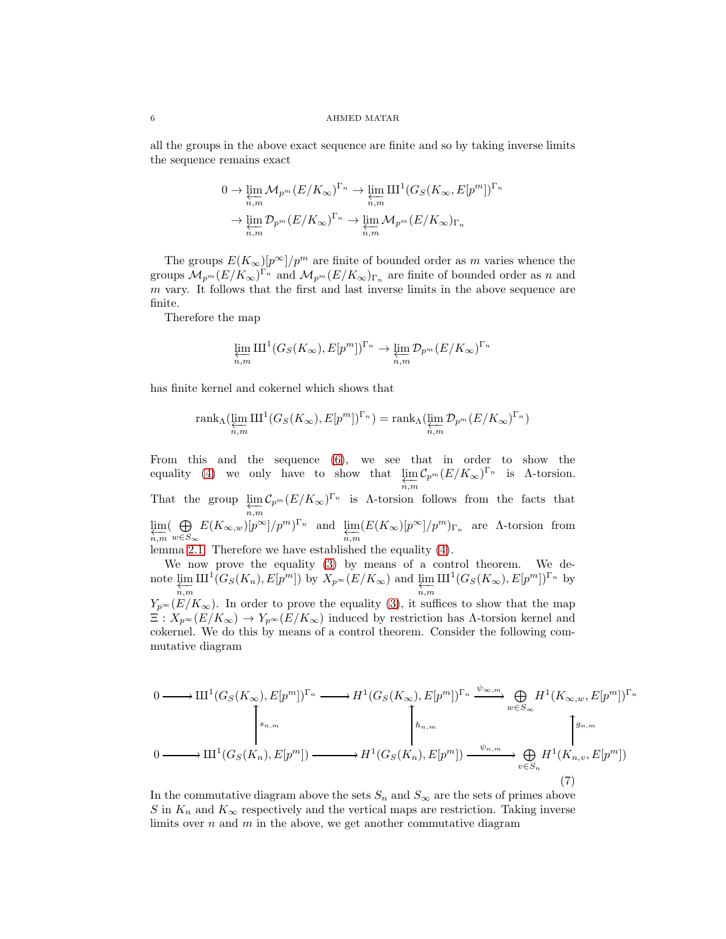#### $6$   $\hfill$  AHMED MATAR

all the groups in the above exact sequence are finite and so by taking inverse limits the sequence remains exact

$$
0 \to \varprojlim_{n,m} \mathcal{M}_{p^m}(E/K_\infty)^{\Gamma_n} \to \varprojlim_{n,m} \mathrm{III}^1(G_S(K_\infty, E[p^m])^{\Gamma_n})
$$

$$
\to \varprojlim_{n,m} \mathcal{D}_{p^m}(E/K_\infty)^{\Gamma_n} \to \varprojlim_{n,m} \mathcal{M}_{p^m}(E/K_\infty)_{\Gamma_n}
$$

The groups  $E(K_{\infty})[p^{\infty}]/p^m$  are finite of bounded order as m varies whence the groups  $M_{p^m}(E/K_\infty)^{\Gamma_n}$  and  $M_{p^m}(E/K_\infty)_{\Gamma_n}$  are finite of bounded order as n and m vary. It follows that the first and last inverse limits in the above sequence are finite.

Therefore the map

$$
\varprojlim_{n,m} \mathrm{III}^1(G_S(K_{\infty}), E[p^m])^{\Gamma_n} \to \varprojlim_{n,m} \mathcal{D}_{p^m}(E/K_{\infty})^{\Gamma_n}
$$

has finite kernel and cokernel which shows that

$$
\operatorname{rank}_{\Lambda}(\varprojlim_{n,m} \amalg^1(G_S(K_{\infty}), E[p^m])^{\Gamma_n}) = \operatorname{rank}_{\Lambda}(\varprojlim_{n,m} \mathcal{D}_{p^m}(E/K_{\infty})^{\Gamma_n})
$$

From this and the sequence [\(6\)](#page-4-2), we see that in order to show the equality [\(4\)](#page-4-0) we only have to show that  $\lim_{n,m} C_{p^m}(E/K_{\infty})^{\Gamma_n}$  is  $\Lambda$ -torsion. That the group  $\varprojlim_{n,m} C_{p^m}(E/K_\infty)^{\Gamma_n}$  is  $\Lambda$ -torsion follows from the facts that lim ←−n,m  $\left(\begin{array}{c}\Theta\end{array}\right)$  $\bigoplus_{w\in S_{\infty}} E(K_{\infty,w})[p^{\infty}]/p^m)^{\Gamma_n}$  and  $\lim_{\substack{n,m}} (E(K_{\infty})[p^{\infty}]/p^m)_{\Gamma_n}$  are A-torsion from lemma [2.1.](#page-2-1) Therefore we have established the equality [\(4\)](#page-4-0). We now prove the equality [\(3\)](#page-4-3) by means of a control theorem. We de-

note  $\varprojlim_{n,m} \mathrm{III}^1(G_S(K_n), E[p^m])$  by  $X_{p^\infty}(E/K_\infty)$  and  $\varprojlim_{n,m} \mathrm{III}^1(G_S(K_\infty), E[p^m])^{\Gamma_n}$  by  $Y_{p^{\infty}}(E/K_{\infty})$ . In order to prove the equality [\(3\)](#page-4-3), it suffices to show that the map  $\Xi: X_{p^{\infty}}(E/K_{\infty}) \to Y_{p^{\infty}}(E/K_{\infty})$  induced by restriction has  $\Lambda$ -torsion kernel and cokernel. We do this by means of a control theorem. Consider the following commutative diagram

$$
0 \longrightarrow \mathrm{III}^{1}(G_{S}(K_{\infty}), E[p^{m}])^{\Gamma_{n}} \longrightarrow H^{1}(G_{S}(K_{\infty}), E[p^{m}])^{\Gamma_{n}} \xrightarrow{\psi_{\infty,m}} \bigoplus_{w \in S_{\infty}} H^{1}(K_{\infty,w}, E[p^{m}])^{\Gamma_{n}}
$$

$$
\downarrow \qquad \qquad \downarrow \qquad \qquad \downarrow \qquad \qquad \downarrow \qquad \qquad \downarrow \qquad \qquad \downarrow \qquad \qquad \downarrow \qquad \qquad \downarrow \qquad \qquad \downarrow \qquad \qquad \downarrow \qquad \qquad \downarrow \qquad \qquad \downarrow \qquad \qquad \downarrow \qquad \qquad \downarrow \qquad \qquad \downarrow \qquad \qquad \downarrow \qquad \qquad \downarrow \qquad \qquad \downarrow \qquad \qquad \downarrow \qquad \qquad \downarrow \qquad \qquad \downarrow \qquad \qquad \downarrow \qquad \qquad \downarrow \qquad \qquad \downarrow \qquad \qquad \downarrow \qquad \qquad \downarrow \qquad \qquad \downarrow \qquad \qquad \downarrow \qquad \qquad \downarrow \qquad \qquad \downarrow \qquad \qquad \downarrow \qquad \qquad \downarrow \qquad \qquad \downarrow \qquad \qquad \downarrow \qquad \qquad \downarrow \qquad \qquad \downarrow \qquad \qquad \downarrow \qquad \qquad \downarrow \qquad \qquad \downarrow \qquad \qquad \downarrow \qquad \qquad \downarrow \qquad \qquad \downarrow \qquad \qquad \downarrow \qquad \qquad \downarrow \qquad \qquad \downarrow \qquad \qquad \downarrow \qquad \qquad \downarrow \qquad \qquad \downarrow \qquad \qquad \downarrow \qquad \qquad \downarrow \qquad \qquad \downarrow \qquad \qquad \downarrow \qquad \qquad \downarrow \qquad \qquad \downarrow \qquad \qquad \downarrow \qquad \qquad \downarrow \qquad \qquad \downarrow \qquad \qquad \downarrow \qquad \qquad \downarrow \qquad \qquad \downarrow \qquad \qquad \downarrow \qquad \qquad \downarrow \qquad \qquad \downarrow \qquad \qquad \downarrow \qquad \qquad \downarrow \qquad \qquad \downarrow \qquad \qquad \downarrow \qquad \qquad \downarrow \qquad \qquad \downarrow \qquad \qquad \downarrow \qquad \qquad \downarrow \qquad \qquad \downarrow \q
$$

In the commutative diagram above the sets  $S_n$  and  $S_\infty$  are the sets of primes above S in  $K_n$  and  $K_\infty$  respectively and the vertical maps are restriction. Taking inverse limits over  $n$  and  $m$  in the above, we get another commutative diagram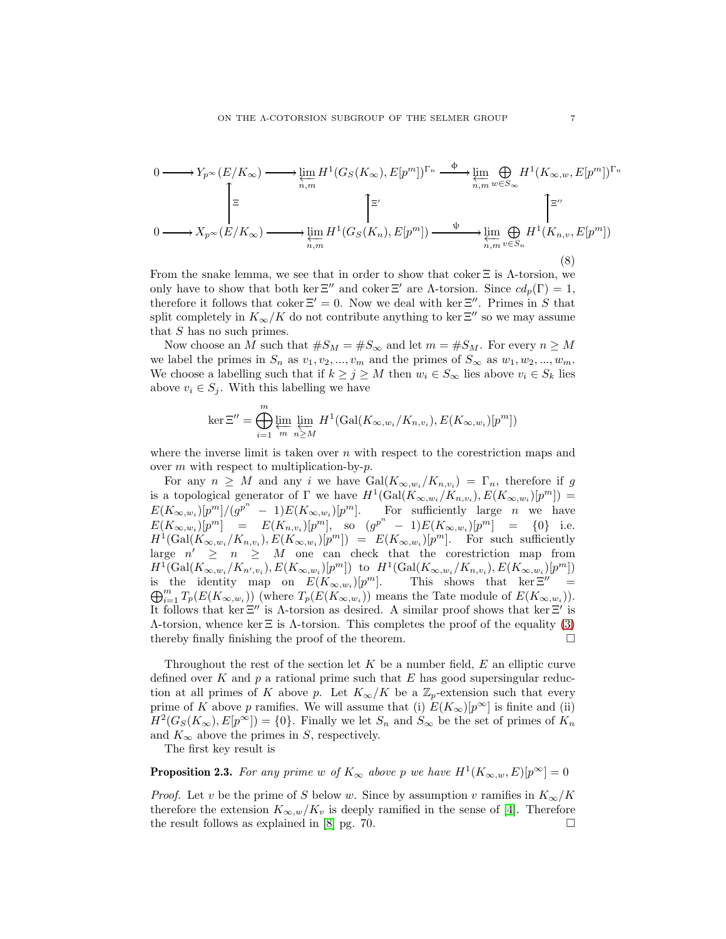$$
0 \longrightarrow Y_{p^{\infty}}(E/K_{\infty}) \longrightarrow \varprojlim_{n,m} H^{1}(G_{S}(K_{\infty}), E[p^{m}])^{\Gamma_{n}} \longrightarrow \varprojlim_{n,m} \bigoplus_{w \in S_{\infty}} H^{1}(K_{\infty,w}, E[p^{m}])^{\Gamma_{n}}
$$
  
\n
$$
\downarrow \qquad \qquad \qquad \uparrow \qquad \qquad \uparrow \qquad \qquad \uparrow \qquad \qquad \uparrow \qquad \qquad \downarrow
$$
  
\n
$$
0 \longrightarrow X_{p^{\infty}}(E/K_{\infty}) \longrightarrow \varprojlim_{n,m} H^{1}(G_{S}(K_{n}), E[p^{m}]) \longrightarrow \varprojlim_{n,m} \bigoplus_{v \in S_{n}} H^{1}(K_{n,v}, E[p^{m}])
$$
  
\n(8)

From the snake lemma, we see that in order to show that coker  $\Xi$  is  $\Lambda$ -torsion, we only have to show that both ker  $\Xi''$  and coker  $\Xi'$  are  $\Lambda$ -torsion. Since  $cd_p(\Gamma) = 1$ , therefore it follows that coker  $\Xi' = 0$ . Now we deal with ker  $\Xi''$ . Primes in S that split completely in  $K_{\infty}/K$  do not contribute anything to ker  $\Xi''$  so we may assume that  $S$  has no such primes.

Now choose an M such that  $#S_M = #S_{\infty}$  and let  $m = #S_M$ . For every  $n \geq M$ we label the primes in  $S_n$  as  $v_1, v_2, ..., v_m$  and the primes of  $S_\infty$  as  $w_1, w_2, ..., w_m$ . We choose a labelling such that if  $k \ge j \ge M$  then  $w_i \in S_\infty$  lies above  $v_i \in S_k$  lies above  $v_i \in S_j$ . With this labelling we have

$$
\ker \Xi'' = \bigoplus_{i=1}^m \varprojlim_m \lim_{n \geq M} H^1(\text{Gal}(K_{\infty, w_i}/K_{n, v_i}), E(K_{\infty, w_i})[p^m])
$$

where the inverse limit is taken over  $n$  with respect to the corestriction maps and over  $m$  with respect to multiplication-by- $p$ .

For any  $n \geq M$  and any i we have  $Gal(K_{\infty,w_i}/K_{n,v_i}) = \Gamma_n$ , therefore if g is a topological generator of  $\Gamma$  we have  $H^1(\text{Gal}(K_{\infty,w_i}/K_{n,v_i}), E(K_{\infty,w_i})[p^m]) =$  $E(K_{\infty,w_i})[p^m]/(g^{p^n}-1)E(K_{\infty,w_i})[p^m].$  For sufficiently large *n* we have  $E(K_{\infty,w_i})[p^m] = E(K_{n,v_i})[p^m], \text{ so } (g^{p^n} - 1)E(K_{\infty,w_i})[p^m] = \{0\} \text{ i.e.}$  $H^1(\text{Gal}(K_{\infty,w_i}/K_{n,v_i}),E(K_{\infty,w_i})[p^m]) = E(K_{\infty,w_i})[p^m].$  For such sufficiently large  $n' \geq n \geq M$  one can check that the corestriction map from  $H^1(\text{Gal}(K_{\infty,w_i}/K_{n',v_i}),E(K_{\infty,w_i})[p^m])$  to  $H^1(\text{Gal}(K_{\infty,w_i}/K_{n,v_i}),E(K_{\infty,w_i})[p^m])$ is the identity map on  $E(K_{\infty,w_i})[p]$ <sup>m</sup>]. This shows that ker  $\Xi'' =$  $\bigoplus_{i=1}^m T_p(E(K_{\infty,w_i}))$  (where  $T_p(E(K_{\infty,w_i}))$  means the Tate module of  $E(K_{\infty,w_i}))$ . It follows that ker  $\Xi''$  is  $\Lambda$ -torsion as desired. A similar proof shows that ker  $\Xi'$  is Λ-torsion, whence ker Ξ is Λ-torsion. This completes the proof of the equality [\(3\)](#page-4-3) thereby finally finishing the proof of the theorem.  $\Box$ 

Throughout the rest of the section let  $K$  be a number field,  $E$  an elliptic curve defined over K and  $p$  a rational prime such that E has good supersingular reduction at all primes of K above p. Let  $K_{\infty}/K$  be a  $\mathbb{Z}_p$ -extension such that every prime of K above p ramifies. We will assume that (i)  $E(K_{\infty})[p^{\infty}]$  is finite and (ii)  $H^2(G_S(K_\infty), E[p^\infty]) = \{0\}.$  Finally we let  $S_n$  and  $S_\infty$  be the set of primes of  $K_n$ and  $K_{\infty}$  above the primes in S, respectively.

The first key result is

<span id="page-6-0"></span>**Proposition 2.3.** For any prime w of  $K_{\infty}$  above p we have  $H^1(K_{\infty,w}, E)[p^{\infty}] = 0$ 

*Proof.* Let v be the prime of S below w. Since by assumption v ramifies in  $K_{\infty}/K$ therefore the extension  $K_{\infty,w}/K_v$  is deeply ramified in the sense of [\[4\]](#page-19-11). Therefore the result follows as explained in [\[8\]](#page-19-12) pg. 70.  $\Box$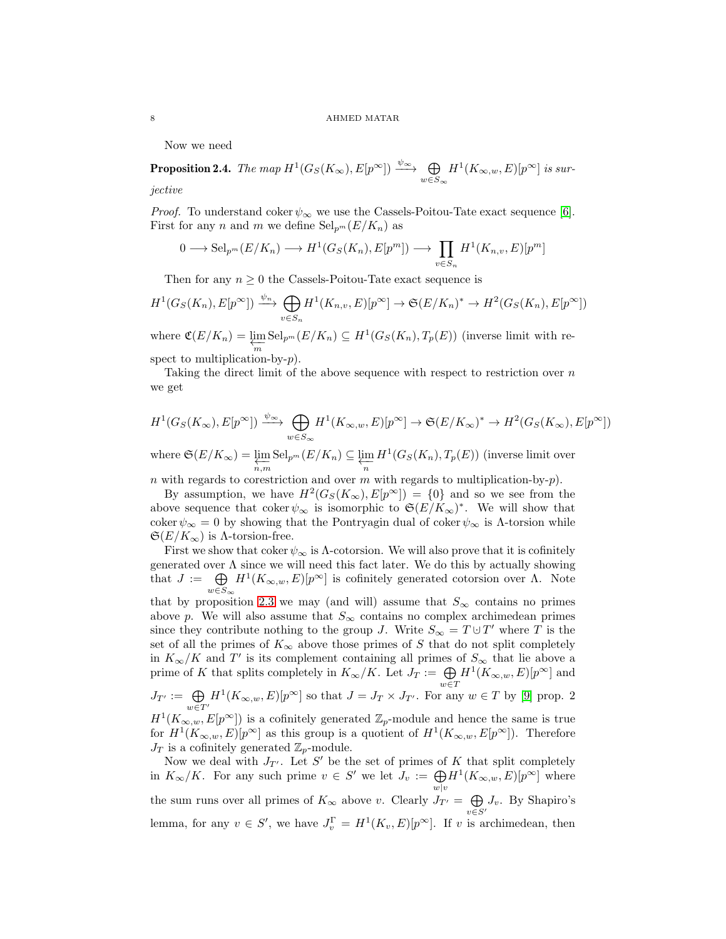Now we need

<span id="page-7-0"></span>**Proposition 2.4.** *The map*  $H^1(G_S(K_\infty), E[p^\infty]) \xrightarrow{\psi_\infty} \bigoplus_{w \in S_\infty}$  $H^1(K_{\infty,w},E)[p^{\infty}]$  *is sur-*

*jective*

*Proof.* To understand coker  $\psi_{\infty}$  we use the Cassels-Poitou-Tate exact sequence [\[6\]](#page-19-13). First for any n and m we define  $\text{Sel}_{p^m}(E/K_n)$  as

$$
0 \longrightarrow \mathrm{Sel}_{p^m}(E/K_n) \longrightarrow H^1(G_S(K_n), E[p^m]) \longrightarrow \prod_{v \in S_n} H^1(K_{n,v}, E)[p^m]
$$

Then for any  $n \geq 0$  the Cassels-Poitou-Tate exact sequence is

$$
H^1(G_S(K_n), E[p^{\infty}]) \xrightarrow{\psi_n} \bigoplus_{v \in S_n} H^1(K_{n,v}, E)[p^{\infty}] \to \mathfrak{S}(E/K_n)^* \to H^2(G_S(K_n), E[p^{\infty}])
$$

where  $\mathfrak{C}(E/K_n) = \varprojlim_m \text{Sel}_{p^m}(E/K_n) \subseteq H^1(G_S(K_n), T_p(E))$  (inverse limit with re-

spect to multiplication-by- $p$ ).

Taking the direct limit of the above sequence with respect to restriction over  $n$ we get

$$
H^1(G_S(K_{\infty}), E[p^{\infty}]) \xrightarrow{\psi_{\infty}} \bigoplus_{w \in S_{\infty}} H^1(K_{\infty,w}, E)[p^{\infty}] \to \mathfrak{S}(E/K_{\infty})^* \to H^2(G_S(K_{\infty}), E[p^{\infty}])
$$

where  $\mathfrak{S}(E/K_{\infty}) = \varprojlim_{n,m} \text{Sel}_{p^m}(E/K_n) \subseteq \varprojlim_{n} H^1(G_S(K_n), T_p(E))$  (inverse limit over

n with regards to corestriction and over m with regards to multiplication-by- $p$ ).

By assumption, we have  $H^2(G_S(K_\infty), E[p^\infty]) = \{0\}$  and so we see from the above sequence that coker  $\psi_{\infty}$  is isomorphic to  $\mathfrak{S}(E/K_{\infty})^*$ . We will show that coker  $\psi_{\infty} = 0$  by showing that the Pontryagin dual of coker  $\psi_{\infty}$  is  $\Lambda$ -torsion while  $\mathfrak{S}(E/K_{\infty})$  is  $\Lambda$ -torsion-free.

First we show that coker  $\psi_{\infty}$  is  $\Lambda$ -cotorsion. We will also prove that it is cofinitely generated over  $\Lambda$  since we will need this fact later. We do this by actually showing that  $J := \bigoplus$  $w\in S_\infty$  $H^1(K_{\infty,w}, E)[p^{\infty}]$  is cofinitely generated cotorsion over  $\Lambda$ . Note

that by proposition [2.3](#page-6-0) we may (and will) assume that  $S_{\infty}$  contains no primes above p. We will also assume that  $S_{\infty}$  contains no complex archimedean primes since they contribute nothing to the group J. Write  $S_{\infty} = T \cup T'$  where T is the set of all the primes of  $K_{\infty}$  above those primes of S that do not split completely in  $K_{\infty}/K$  and T' is its complement containing all primes of  $S_{\infty}$  that lie above a prime of K that splits completely in  $K_{\infty}/K$ . Let  $J_T := \bigoplus_{w \in T}$  $H^1(K_{\infty,w},E)[p^{\infty}]$  and  $J_{T'}:=\bigoplus_{w\in T'}$  $H^1(K_{\infty,w}, E)[p^{\infty}]$  so that  $J = J_T \times J_{T'}$ . For any  $w \in T$  by [\[9\]](#page-19-3) prop. 2  $H^1(K_{\infty,w}, E[p^{\infty}])$  is a cofinitely generated  $\mathbb{Z}_p$ -module and hence the same is true for  $H^1(K_{\infty,w}, E)[p^{\infty}]$  as this group is a quotient of  $H^1(K_{\infty,w}, E[p^{\infty}])$ . Therefore  $J_T$  is a cofinitely generated  $\mathbb{Z}_p$ -module.

Now we deal with  $J_{T'}$ . Let S' be the set of primes of K that split completely in  $K_{\infty}/K$ . For any such prime  $v \in S'$  we let  $J_v := \bigoplus_{w \mid v}$  $H^1(K_{\infty,w},E)[p^{\infty}]$  where the sum runs over all primes of  $K_{\infty}$  above v. Clearly  $J_{T'} = \bigoplus$  $\bigoplus_{v \in S'} J_v$ . By Shapiro's lemma, for any  $v \in S'$ , we have  $J_v^{\Gamma} = H^1(K_v, E)[p^{\infty}]$ . If v is archimedean, then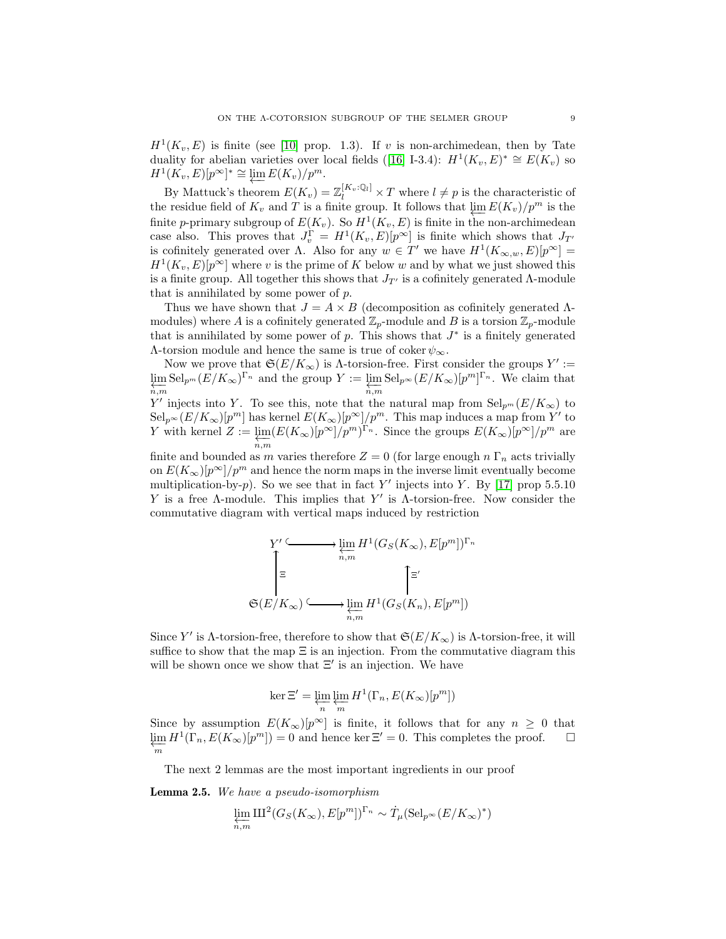$H<sup>1</sup>(K_v, E)$  is finite (see [\[10\]](#page-19-14) prop. 1.3). If v is non-archimedean, then by Tate dualityfor abelian varieties over local fields ([\[16\]](#page-19-15) I-3.4):  $H^1(K_v, E)^* \cong E(K_v)$  so  $H^1(K_v, E)[p^{\infty}]^* \cong \varprojlim E(K_v)/p^m.$ 

By Mattuck's theorem  $E(K_v) = \mathbb{Z}_l^{[K_v:\mathbb{Q}_l]} \times T$  where  $l \neq p$  is the characteristic of the residue field of  $K_v$  and T is a finite group. It follows that  $\varprojlim E(K_v)/p^m$  is the finite a primary subgroup of  $F(K)$  So  $H^1(K - F)$  is finite in the non-archimedean finite *p*-primary subgroup of  $E(K_v)$ . So  $H^1(K_v, E)$  is finite in the non-archimedean case also. This proves that  $J_v^{\Gamma} = H^1(K_v, E)[p^{\infty}]$  is finite which shows that  $J_{T'}$ is cofinitely generated over  $\Lambda$ . Also for any  $w \in T'$  we have  $H^1(K_{\infty,w}, E)[p^{\infty}] =$  $H<sup>1</sup>(K_v, E)[p<sup>\infty</sup>]$  where v is the prime of K below w and by what we just showed this is a finite group. All together this shows that  $J_{T'}$  is a cofinitely generated Λ-module that is annihilated by some power of p.

Thus we have shown that  $J = A \times B$  (decomposition as cofinitely generated  $\Lambda$ modules) where A is a cofinitely generated  $\mathbb{Z}_p$ -module and B is a torsion  $\mathbb{Z}_p$ -module that is annihilated by some power of  $p$ . This shows that  $J^*$  is a finitely generated  $Λ$ -torsion module and hence the same is true of coker  $ψ_{\infty}$ .

Now we prove that  $\mathfrak{S}(E/K_{\infty})$  is  $\Lambda$ -torsion-free. First consider the groups  $Y' :=$ lim ←−n,m  $\mathrm{Sel}_{p^m}(E/K_\infty)^{\Gamma_n}$  and the group  $Y := \underline{\lim}$ ←−n,m  $\text{Sel}_{p^{\infty}}(E/K_{\infty})[p^{m}]^{\Gamma_n}$ . We claim that Y' injects into Y. To see this, note that the natural map from  $\text{Sel}_{p^m}(E/K_{\infty})$  to  $\text{Sel}_{p^{\infty}}(E/K_{\infty})[p^m]$  has kernel  $E(K_{\infty})[p^{\infty}]/p^m$ . This map induces a map from Y' to Y with kernel  $Z := \lim$ ←−n,m  $(E(K_{\infty})[p^{\infty}]/p^m)^{\Gamma_n}$ . Since the groups  $E(K_{\infty})[p^{\infty}]/p^m$  are

finite and bounded as m varies therefore  $Z = 0$  (for large enough  $n \Gamma_n$  acts trivially on  $E(K_{\infty})[p^{\infty}]/p^m$  and hence the norm maps in the inverse limit eventually become multiplication-by-p). So we see that in fact Y' injects into Y. By [\[17\]](#page-19-8) prop 5.5.10 Y is a free  $\Lambda$ -module. This implies that Y' is  $\Lambda$ -torsion-free. Now consider the commutative diagram with vertical maps induced by restriction

$$
\sum_{n,m}^{Y'} \xrightarrow{\text{lim}} H^1(G_S(K_\infty), E[p^m])^{\Gamma_n}
$$
  

$$
\equiv \qquad \qquad \sum_{n,m}^{\equiv'} \qquad \qquad \sum_{n,m}^{\equiv'} H^1(G_S(K_n), E[p^m])
$$

Since Y' is  $\Lambda$ -torsion-free, therefore to show that  $\mathfrak{S}(E/K_{\infty})$  is  $\Lambda$ -torsion-free, it will suffice to show that the map  $\Xi$  is an injection. From the commutative diagram this will be shown once we show that  $\Xi'$  is an injection. We have

$$
\ker \Xi' = \varprojlim_n \varprojlim_m H^1(\Gamma_n,E(K_\infty)[p^m])
$$

Since by assumption  $E(K_{\infty})[p^{\infty}]$  is finite, it follows that for any  $n \geq 0$  that  $\lim_{m} H^{1}(\Gamma_{n}, E(K_{\infty})[p^{m}]) = 0$  and hence ker  $\Xi' = 0$ . This completes the proof.  $\square$ 

The next 2 lemmas are the most important ingredients in our proof

<span id="page-8-0"></span>Lemma 2.5. *We have a pseudo-isomorphism*

$$
\varprojlim_{n,m} \mathrm{III}^2(G_S(K_{\infty}), E[p^m])^{\Gamma_n} \sim T_{\mu}(\mathrm{Sel}_{p^{\infty}}(E/K_{\infty})^*)
$$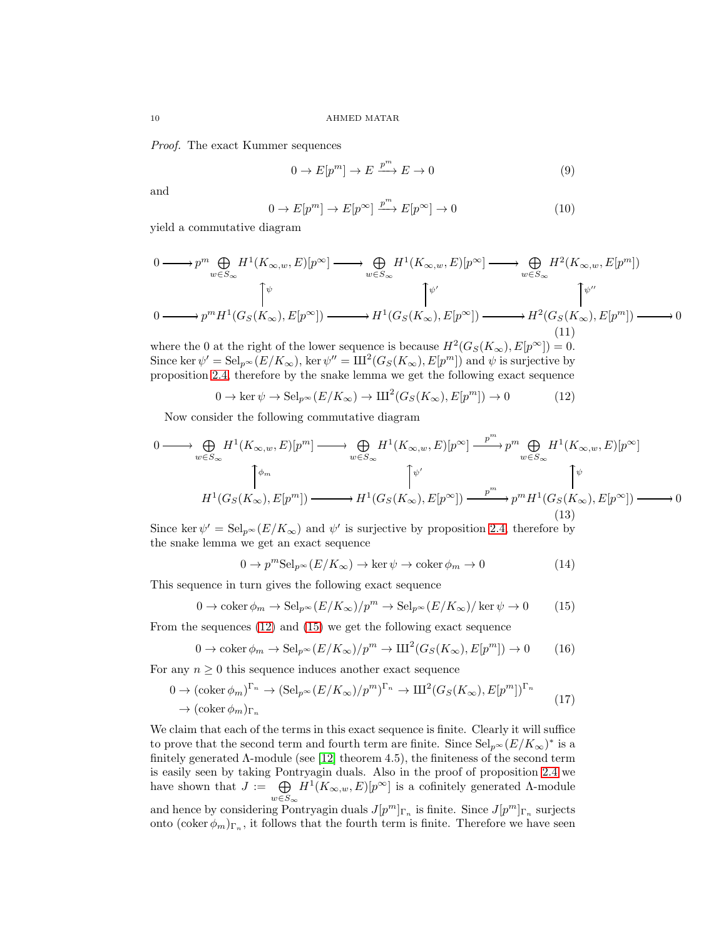*Proof.* The exact Kummer sequences

$$
0 \to E[p^m] \to E \xrightarrow{p^m} E \to 0 \tag{9}
$$

and

<span id="page-9-3"></span>
$$
0 \to E[p^m] \to E[p^\infty] \xrightarrow{p^m} E[p^\infty] \to 0 \tag{10}
$$

yield a commutative diagram

$$
0 \longrightarrow p^{m} \bigoplus_{w \in S_{\infty}} H^{1}(K_{\infty,w}, E)[p^{\infty}] \longrightarrow \bigoplus_{w \in S_{\infty}} H^{1}(K_{\infty,w}, E)[p^{\infty}] \longrightarrow \bigoplus_{w \in S_{\infty}} H^{2}(K_{\infty,w}, E[p^{m}])
$$
  
\n
$$
0 \longrightarrow p^{m} H^{1}(G_{S}(K_{\infty}), E[p^{\infty}]) \longrightarrow H^{1}(G_{S}(K_{\infty}), E[p^{\infty}]) \longrightarrow H^{2}(G_{S}(K_{\infty}), E[p^{m}]) \longrightarrow 0
$$
  
\n
$$
(11)
$$

where the 0 at the right of the lower sequence is because  $H^2(G_S(K_\infty), E[p^\infty]) = 0$ . Since ker  $\psi' = \text{Sel}_{p^{\infty}}(E/K_{\infty}), \text{ ker }\psi'' = \text{III}^2(G_S(K_{\infty}), E[p^m])$  and  $\psi$  is surjective by proposition [2.4,](#page-7-0) therefore by the snake lemma we get the following exact sequence

<span id="page-9-0"></span>
$$
0 \to \ker \psi \to \mathrm{Sel}_{p^{\infty}}(E/K_{\infty}) \to \mathrm{III}^2(G_S(K_{\infty}), E[p^m]) \to 0
$$
 (12)

Now consider the following commutative diagram

$$
0 \longrightarrow \bigoplus_{w \in S_{\infty}} H^{1}(K_{\infty,w}, E)[p^{m}] \longrightarrow \bigoplus_{w \in S_{\infty}} H^{1}(K_{\infty,w}, E)[p^{\infty}] \xrightarrow{p^{m}} p^{m} \bigoplus_{w \in S_{\infty}} H^{1}(K_{\infty,w}, E)[p^{\infty}]
$$
  

$$
\uparrow \psi
$$
  

$$
H^{1}(G_{S}(K_{\infty}), E[p^{m}]) \longrightarrow H^{1}(G_{S}(K_{\infty}), E[p^{\infty}]) \xrightarrow{p^{m}} p^{m} H^{1}(G_{S}(K_{\infty}), E[p^{\infty}]) \longrightarrow 0
$$
  
(13)

Since ker  $\psi' = \text{Sel}_{p^{\infty}}(E/K_{\infty})$  and  $\psi'$  is surjective by proposition [2.4,](#page-7-0) therefore by the snake lemma we get an exact sequence

<span id="page-9-2"></span>
$$
0 \to p^m \text{Sel}_{p^\infty}(E/K_\infty) \to \ker \psi \to \text{coker}\,\phi_m \to 0 \tag{14}
$$

This sequence in turn gives the following exact sequence

<span id="page-9-1"></span>
$$
0 \to \operatorname{coker} \phi_m \to \operatorname{Sel}_{p^{\infty}}(E/K_{\infty})/p^m \to \operatorname{Sel}_{p^{\infty}}(E/K_{\infty})/\ker \psi \to 0
$$
 (15)

From the sequences [\(12\)](#page-9-0) and [\(15\)](#page-9-1) we get the following exact sequence

$$
0 \to \operatorname{coker} \phi_m \to \operatorname{Sel}_{p^{\infty}}(E/K_{\infty})/p^m \to \mathrm{III}^2(G_S(K_{\infty}), E[p^m]) \to 0 \tag{16}
$$

For any  $n \geq 0$  this sequence induces another exact sequence

$$
0 \to (\operatorname{coker} \phi_m)^{\Gamma_n} \to (\operatorname{Sel}_{p^{\infty}}(E/K_{\infty})/p^m)^{\Gamma_n} \to \mathrm{III}^2(G_S(K_{\infty}), E[p^m])^{\Gamma_n}
$$
  

$$
\to (\operatorname{coker} \phi_m)_{\Gamma_n}
$$
 (17)

We claim that each of the terms in this exact sequence is finite. Clearly it will suffice to prove that the second term and fourth term are finite. Since  $\text{Sel}_{p^{\infty}}(E/K_{\infty})^*$  is a finitely generated  $\Lambda$ -module (see [\[12\]](#page-19-10) theorem 4.5), the finiteness of the second term is easily seen by taking Pontryagin duals. Also in the proof of proposition [2.4](#page-7-0) we have shown that  $J := \bigoplus$  $w\in S_\infty$  $H^1(K_{\infty,w}, E)[p^{\infty}]$  is a cofinitely generated  $\Lambda$ -module and hence by considering Pontryagin duals  $J[p^m]_{\Gamma_n}$  is finite. Since  $J[p^m]_{\Gamma_n}$  surjects

onto  $(\text{coker }\phi_m)_{\Gamma_n}$ , it follows that the fourth term is finite. Therefore we have seen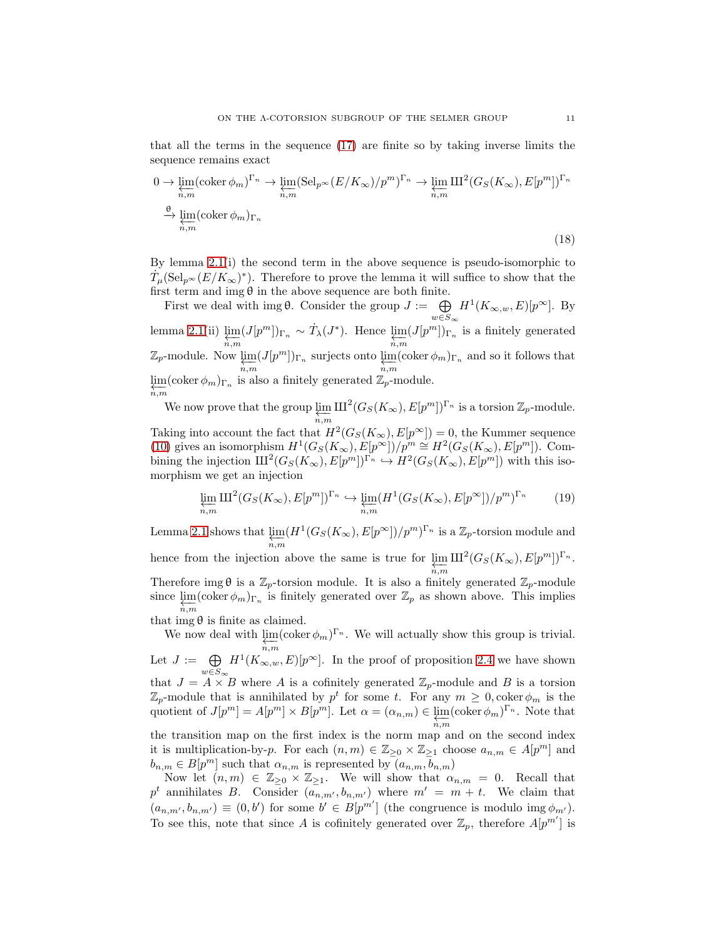that all the terms in the sequence [\(17\)](#page-9-2) are finite so by taking inverse limits the sequence remains exact

$$
0 \to \varprojlim_{n,m} (\operatorname{coker} \phi_m)^{\Gamma_n} \to \varprojlim_{n,m} (\operatorname{Sel}_{p^{\infty}}(E/K_{\infty})/p^m)^{\Gamma_n} \to \varprojlim_{n,m} \operatorname{III}^2(G_S(K_{\infty}), E[p^m])^{\Gamma_n}
$$
  

$$
\xrightarrow{\theta} \varprojlim_{n,m} (\operatorname{coker} \phi_m)_{\Gamma_n}
$$
 (18)

By lemma [2.1\(](#page-2-1)i) the second term in the above sequence is pseudo-isomorphic to  $\dot{T}_{\mu}(\text{Sel}_{p^{\infty}}(E/K_{\infty})^*)$ . Therefore to prove the lemma it will suffice to show that the first term and img  $\theta$  in the above sequence are both finite.

First we deal with img  $\theta$ . Consider the group  $J := \bigoplus$  $w\in S_\infty$  $H^1(K_{\infty,w},E)[p^{\infty}]$ . By lemma [2.1\(](#page-2-1)ii)  $\varprojlim_{n,m} (J[p^m])_{\Gamma_n} \sim \dot{T}_{\lambda}(J^*)$ . Hence  $\varprojlim_{n,m} (J[p^m])_{\Gamma_n}$  is a finitely generated  $\mathbb{Z}_p$ -module. Now  $\varprojlim_{n,m}(J[p^m])_{\Gamma_n}$  surjects onto  $\varprojlim_{n,m}(\text{coker }\phi_m)_{\Gamma_n}$  and so it follows that  $\varprojlim(\operatorname{coker}\phi_m)_{\Gamma_n}$  is also a finitely generated  $\mathbb{Z}_p$ -module.  $n, m$ 

We now prove that the group  $\varprojlim_{n,m} \mathrm{III}^2(G_S(K_\infty), E[p^m])^{\Gamma_n}$  is a torsion  $\mathbb{Z}_p$ -module.

Taking into account the fact that  $H^2(G_S(K_\infty), E[p^\infty]) = 0$ , the Kummer sequence [\(10\)](#page-9-3) gives an isomorphism  $H^1(G_S(K_\infty), E[p^\infty])/p^m \cong H^2(G_S(K_\infty), E[p^m])$ . Combining the injection  $\mathrm{III}^2(G_S(K_\infty), E[p^m])^{\Gamma_n} \hookrightarrow H^2(G_S(K_\infty), E[p^m])$  with this isomorphism we get an injection

$$
\varprojlim_{n,m} \mathrm{III}^2(G_S(K_\infty), E[p^m])^{\Gamma_n} \hookrightarrow \varprojlim_{n,m} (H^1(G_S(K_\infty), E[p^\infty])/p^m)^{\Gamma_n} \tag{19}
$$

Lemma [2.1](#page-2-1) shows that  $\varprojlim_m (H^1(G_S(K_\infty), E[p^\infty])/p^m)^{\Gamma_n}$  is a  $\mathbb{Z}_p$ -torsion module and hence from the injection above the same is true for  $\varprojlim_{n,m} \mathrm{III}^2(G_S(K_\infty), E[p^m])^{\Gamma_n}$ . Therefore img  $\theta$  is a  $\mathbb{Z}_p$ -torsion module. It is also a finitely generated  $\mathbb{Z}_p$ -module since  $\lim_{n,m}$  (coker  $\phi_m$ )<sub>Γn</sub> is finitely generated over  $\mathbb{Z}_p$  as shown above. This implies

that img  $\theta$  is finite as claimed.

We now deal with  $\varprojlim_{n,m}$  $(\coker \phi_m)^{\Gamma_n}$ . We will actually show this group is trivial. Let  $J := \bigoplus$  $w \in S_{\infty}$  $H^1(K_{\infty,w},E)[p^{\infty}]$ . In the proof of proposition [2.4](#page-7-0) we have shown that  $J = A \times B$  where A is a cofinitely generated  $\mathbb{Z}_p$ -module and B is a torsion  $\mathbb{Z}_p$ -module that is annihilated by  $p^t$  for some t. For any  $m \geq 0$ ,  $\operatorname{coker} \phi_m$  is the quotient of  $J[p^m] = A[p^m] \times B[p^m]$ . Let  $\alpha = (\alpha_{n,m}) \in \varprojlim_{n,m} (\text{coker}\,\phi_m)^{\Gamma_n}$ . Note that the transition map on the first index is the norm map and on the second index it is multiplication-by-p. For each  $(n, m) \in \mathbb{Z}_{\geq 0} \times \mathbb{Z}_{\geq 1}$  choose  $a_{n,m} \in A[p^m]$  and  $b_{n,m} \in B[p^m]$  such that  $\alpha_{n,m}$  is represented by  $(a_{n,m}, b_{n,m})$ 

Now let  $(n, m) \in \mathbb{Z}_{\geq 0} \times \mathbb{Z}_{\geq 1}$ . We will show that  $\alpha_{n,m} = 0$ . Recall that  $p^t$  annihilates B. Consider  $(a_{n,m'}, b_{n,m'})$  where  $m' = m + t$ . We claim that  $(a_{n,m'},b_{n,m'}) \equiv (0,b')$  for some  $b' \in B[p^{m'}]$  (the congruence is modulo img  $\phi_{m'}$ ). To see this, note that since A is cofinitely generated over  $\mathbb{Z}_p$ , therefore  $A[p^{m'}]$  is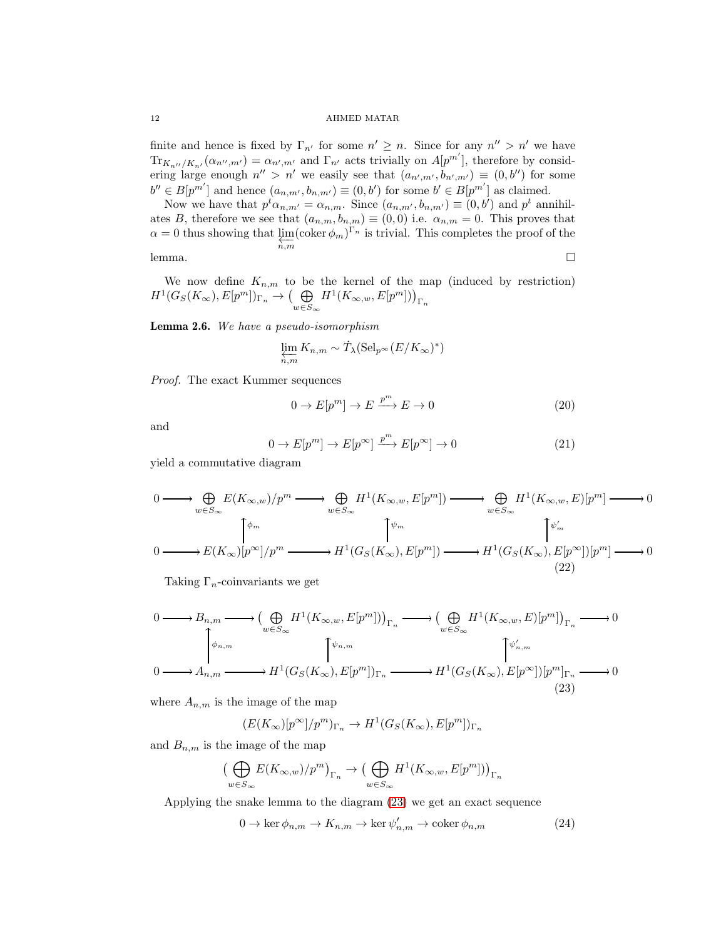finite and hence is fixed by  $\Gamma_{n'}$  for some  $n' \geq n$ . Since for any  $n'' > n'$  we have  $\text{Tr}_{K_{n''}/K_{n'}}(\alpha_{n'',m'}) = \alpha_{n',m'}$  and  $\Gamma_{n'}$  acts trivially on  $A[p^{m'}],$  therefore by considering large enough  $n'' > n'$  we easily see that  $(a_{n',m'}, b_{n',m'}) \equiv (0, b'')$  for some  $b'' \in B[p^{m'}]$  and hence  $(a_{n,m'}, b_{n,m'}) \equiv (0, b')$  for some  $b' \in B[p^{m'}]$  as claimed.

Now we have that  $p^t \alpha_{n,m'} = \alpha_{n,m}$ . Since  $(a_{n,m'}, b_{n,m'}) \equiv (0, b')$  and  $p^t$  annihilates B, therefore we see that  $(a_{n,m}, b_{n,m}) \equiv (0,0)$  i.e.  $\alpha_{n,m} = 0$ . This proves that  $\alpha = 0$  thus showing that  $\varprojlim_{n,m} (\text{coker }\phi_m)^{\Gamma_n}$  is trivial. This completes the proof of the lemma. □

We now define  $K_{n,m}$  to be the kernel of the map (induced by restriction)  $H^1(G_S(K_\infty), E[p^m])_{\Gamma_n} \to \left(\bigoplus_{\substack{S \subset n}}$  $w\in S_\infty$  $H^1(K_{\infty,w}, E[p^m]))_{\Gamma_n}$ 

<span id="page-11-2"></span>Lemma 2.6. *We have a pseudo-isomorphism*

$$
\varprojlim_{n,m} K_{n,m} \sim \dot{T}_{\lambda}(\mathrm{Sel}_{p^{\infty}}(E/K_{\infty})^*)
$$

*Proof.* The exact Kummer sequences

$$
0 \to E[p^m] \to E \xrightarrow{p^m} E \to 0 \tag{20}
$$

and

$$
0 \to E[p^m] \to E[p^\infty] \xrightarrow{p^m} E[p^\infty] \to 0 \tag{21}
$$

yield a commutative diagram

$$
\begin{aligned}\n0 &\longrightarrow \bigoplus_{w \in S_{\infty}} E(K_{\infty,w})/p^m \longrightarrow \bigoplus_{w \in S_{\infty}} H^1(K_{\infty,w}, E[p^m]) \longrightarrow \bigoplus_{w \in S_{\infty}} H^1(K_{\infty,w}, E)[p^m] \longrightarrow 0 \\
0 &\longrightarrow E(K_{\infty})[p^{\infty}]/p^m \longrightarrow H^1(G_S(K_{\infty}), E[p^m]) \longrightarrow H^1(G_S(K_{\infty}), E[p^{\infty}])[p^m] \longrightarrow 0 \\
&\qquad (22)\n\end{aligned}
$$

Taking  $\Gamma_n$ -coinvariants we get

<span id="page-11-0"></span>
$$
\begin{aligned}\n0 &\longrightarrow B_{n,m} \longrightarrow \left(\bigoplus_{w\in S_{\infty}} H^1(K_{\infty,w}, E[p^m])\right)_{\Gamma_n} \longrightarrow \left(\bigoplus_{w\in S_{\infty}} H^1(K_{\infty,w}, E)[p^m]\right)_{\Gamma_n} \longrightarrow 0 \\
&\downarrow \phi_{n,m} \\
0 &\longrightarrow A_{n,m} \longrightarrow H^1(G_S(K_{\infty}), E[p^m])_{\Gamma_n} \longrightarrow H^1(G_S(K_{\infty}), E[p^{\infty}])[p^m]_{\Gamma_n} \longrightarrow 0\n\end{aligned}
$$
\n(23)

where  $A_{n,m}$  is the image of the map

$$
(E(K_{\infty})[p^{\infty}]/p^m)_{\Gamma_n} \to H^1(G_S(K_{\infty}), E[p^m])_{\Gamma_n}
$$

and  $B_{n,m}$  is the image of the map

$$
\big(\bigoplus_{w\in S_\infty}E(K_{\infty,w})/p^m\big)_{\Gamma_n}\to \big(\bigoplus_{w\in S_\infty}H^1(K_{\infty,w},E[p^m])\big)_{\Gamma_n}
$$

Applying the snake lemma to the diagram [\(23\)](#page-11-0) we get an exact sequence

<span id="page-11-1"></span>
$$
0 \to \ker \phi_{n,m} \to K_{n,m} \to \ker \psi'_{n,m} \to \operatorname{coker} \phi_{n,m} \tag{24}
$$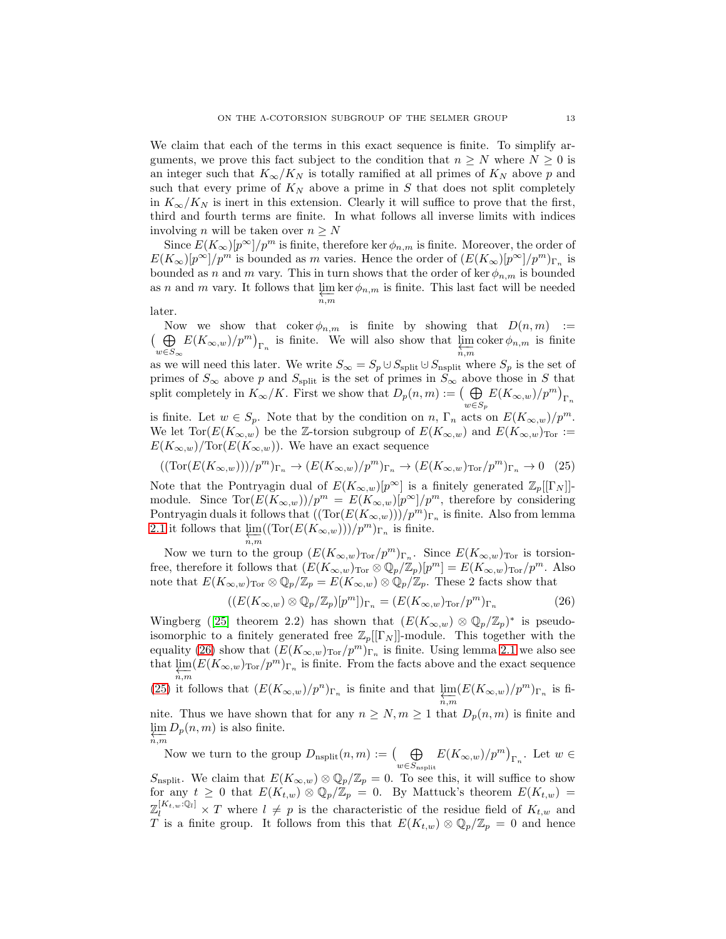We claim that each of the terms in this exact sequence is finite. To simplify arguments, we prove this fact subject to the condition that  $n \geq N$  where  $N \geq 0$  is an integer such that  $K_{\infty}/K_N$  is totally ramified at all primes of  $K_N$  above p and such that every prime of  $K_N$  above a prime in S that does not split completely in  $K_{\infty}/K_N$  is inert in this extension. Clearly it will suffice to prove that the first, third and fourth terms are finite. In what follows all inverse limits with indices involving *n* will be taken over  $n \geq N$ 

Since  $E(K_{\infty})[p^{\infty}]/p^m$  is finite, therefore ker  $\phi_{n,m}$  is finite. Moreover, the order of  $E(K_{\infty})[p^{\infty}]/p^m$  is bounded as m varies. Hence the order of  $(E(K_{\infty})[p^{\infty}]/p^m)_{\Gamma_n}$  is bounded as n and m vary. This in turn shows that the order of ker  $\phi_{n,m}$  is bounded as n and m vary. It follows that  $\varprojlim_{n,m} \ker \phi_{n,m}$  is finite. This last fact will be needed

later.

Now we show that  $\operatorname{coker} \phi_{n,m}$  is finite by showing that  $D(n, m) :=$  $\overline{A}$  $\bigoplus_{w\in S_{\infty}} E(K_{\infty,w})/p^m)_{\Gamma_n}$  is finite. We will also show that  $\varprojlim_{n,m} \text{coker}\,\phi_{n,m}$  is finite as we will need this later. We write  $S_{\infty} = S_p \cup S_{\text{split}} \cup S_{\text{nsplit}}$  where  $S_p$  is the set of primes of  $S_{\infty}$  above p and  $S_{\text{split}}$  is the set of primes in  $S_{\infty}$  above those in S that split completely in  $K_{\infty}/K$ . First we show that  $D_p(n,m) := \left(\bigoplus_{w \in S_p} E(K_{\infty,w})/p^m\right)_{\Gamma_n}$ is finite. Let  $w \in S_p$ . Note that by the condition on n,  $\Gamma_n$  acts on  $E(K_{\infty,w})/p^m$ . We let  $\text{Tor}(E(K_{\infty,w})$  be the Z-torsion subgroup of  $E(K_{\infty,w})$  and  $E(K_{\infty,w})_{\text{Tor}}:=$ 

$$
E(K_{\infty,w})
$$
/Tor $(E(K_{\infty,w}))$ . We have an exact sequence

<span id="page-12-1"></span>
$$
((\text{Tor}(E(K_{\infty,w})))/p^m)_{\Gamma_n} \to (E(K_{\infty,w})/p^m)_{\Gamma_n} \to (E(K_{\infty,w})_{\text{Tor}}/p^m)_{\Gamma_n} \to 0 \quad (25)
$$

Note that the Pontryagin dual of  $E(K_{\infty,w})[p^{\infty}]$  is a finitely generated  $\mathbb{Z}_p[[\Gamma_N]]$ module. Since  $\text{Tor}(E(K_{\infty,w}))/p^m = E(K_{\infty,w})[p^{\infty}]/p^m$ , therefore by considering Pontryagin duals it follows that  $((\text{Tor}(E(K_{\infty,w})))/p^m)_{\Gamma_n}$  is finite. Also from lemma [2.1](#page-2-1) it follows that  $\lim_{n,m} ((\text{Tor}(E(K_{\infty,w}))/p^m)_{\Gamma_n}$  is finite.

$$
_{n,m}^{\gamma}
$$

Now we turn to the group  $(E(K_{\infty,w})_{Tor}/p^m)_{\Gamma_n}$ . Since  $E(K_{\infty,w})_{Tor}$  is torsionfree, therefore it follows that  $(E(K_{\infty,w})_{\text{Tor}} \otimes \mathbb{Q}_p/\mathbb{Z}_p)[p^m] = E(K_{\infty,w})_{\text{Tor}}/p^m$ . Also note that  $E(K_{\infty,w})_{\text{Tor}} \otimes \mathbb{Q}_p/\mathbb{Z}_p = E(K_{\infty,w}) \otimes \mathbb{Q}_p/\mathbb{Z}_p$ . These 2 facts show that

<span id="page-12-0"></span>
$$
((E(K_{\infty,w})\otimes\mathbb{Q}_p/\mathbb{Z}_p)[p^m])_{\Gamma_n} = (E(K_{\infty,w})_{\text{Tor}}/p^m)_{\Gamma_n}
$$
\n(26)

Wingberg([\[25\]](#page-20-4) theorem 2.2) has shown that  $(E(K_{\infty,w}) \otimes \mathbb{Q}_p/\mathbb{Z}_p)^*$  is pseudoisomorphic to a finitely generated free  $\mathbb{Z}_p[[\Gamma_N]]$ -module. This together with the equality [\(26\)](#page-12-0) show that  $(E(K_{\infty,w})_{\text{Tor}}/p^m)_{\Gamma_n}$  is finite. Using lemma [2.1](#page-2-1) we also see that  $\lim_{n,m} (E(K_{\infty,w})_{\text{Tor}}/p^m)_{\Gamma_n}$  is finite. From the facts above and the exact sequence

[\(25\)](#page-12-1) it follows that  $(E(K_{\infty,w})/p^n)_{\Gamma_n}$  is finite and that  $\varprojlim_{n,m}(E(K_{\infty,w})/p^m)_{\Gamma_n}$  is fi-

nite. Thus we have shown that for any  $n \geq N, m \geq 1$  that  $D_p(n,m)$  is finite and  $\lim_{n \to \infty} D_p(n,m)$  is also finite.  $n, m$ 

Now we turn to the group  $D_{\text{nsplit}}(n,m) := \left(\bigoplus_{w \in S_{\text{nsplit}}} E(K_{\infty,w})/p^m\right)_{\Gamma_n}$ . Let  $w \in$ S<sub>nsplit</sub>. We claim that  $E(K_{\infty,w}) \otimes \mathbb{Q}_p/\mathbb{Z}_p = 0$ . To see this, it will suffice to show

for any  $t \geq 0$  that  $E(K_{t,w}) \otimes \mathbb{Q}_p/\mathbb{Z}_p = 0$ . By Mattuck's theorem  $E(K_{t,w}) =$  $\mathbb{Z}_l^{[K_t,w:\mathbb{Q}_l]} \times T$  where  $l \neq p$  is the characteristic of the residue field of  $K_{t,w}$  and T is a finite group. It follows from this that  $E(K_{t,w}) \otimes \mathbb{Q}_p/\mathbb{Z}_p = 0$  and hence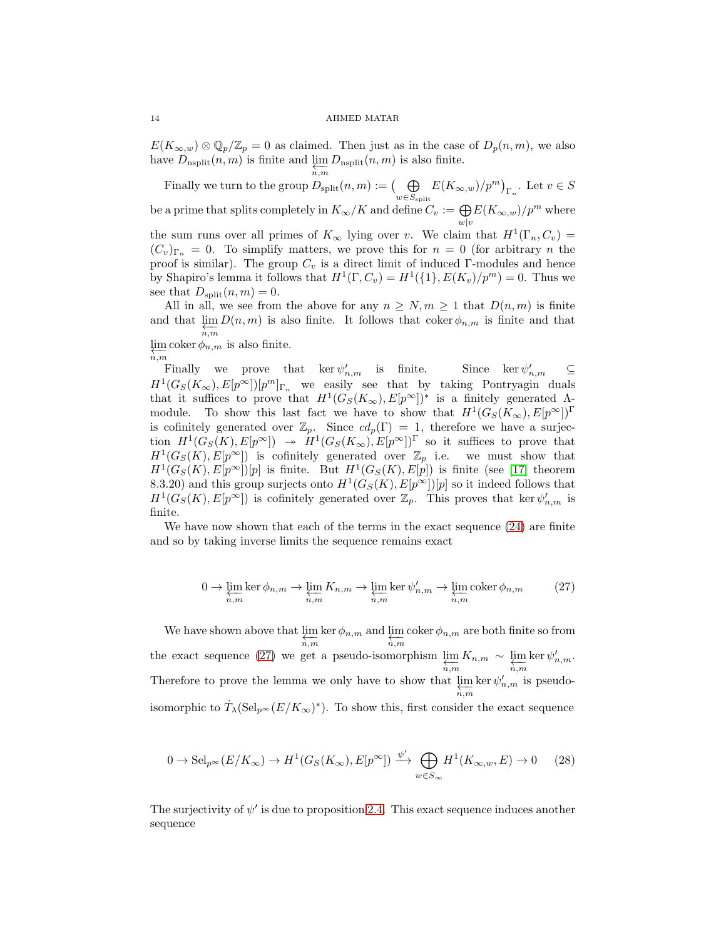$E(K_{\infty,w})\otimes\mathbb{Q}_p/\mathbb{Z}_p=0$  as claimed. Then just as in the case of  $D_p(n,m)$ , we also have  $D_{\text{nsplit}}(n,m)$  is finite and  $\varprojlim_{n,m} D_{\text{nsplit}}(n,m)$  is also finite.

Finally we turn to the group  $D_{\text{split}}(n,m) := \left(\bigoplus_{w \in S_{\text{split}}} E(K_{\infty,w})/p^m\right)_{\Gamma_n}$ . Let  $v \in S$ be a prime that splits completely in  $K_{\infty}/K$  and define  $C_v := \bigoplus_{w|v} E(K_{\infty,w})/p^m$  where the sum runs over all primes of  $K_{\infty}$  lying over v. We claim that  $H^1(\Gamma_n, C_v)$ 

 $(C_v)_{\Gamma_n} = 0$ . To simplify matters, we prove this for  $n = 0$  (for arbitrary n the proof is similar). The group  $C_v$  is a direct limit of induced Γ-modules and hence by Shapiro's lemma it follows that  $H^1(\Gamma, C_v) = H^1(\{1\}, E(K_v)/p^m) = 0$ . Thus we see that  $D_{split}(n,m) = 0$ .

All in all, we see from the above for any  $n \geq N, m \geq 1$  that  $D(n, m)$  is finite and that  $\varprojlim_{n,m} D(n,m)$  is also finite. It follows that coker  $\phi_{n,m}$  is finite and that  $\lim_{m \to \infty}$  coker  $\phi_{n,m}$  is also finite.

 $\overline{n,m}$ 

Finally we prove that  $\ker \psi'_{n,m}$  is finite. Since  $\ker \psi$  $\zeta'_{n,m}$   $\subseteq$  $H^1(G_S(K_\infty), E[p^\infty])[p^m]_{\Gamma_n}$  we easily see that by taking Pontryagin duals that it suffices to prove that  $H^1(G_S(K_\infty), E[p^\infty])^*$  is a finitely generated  $\Lambda$ module. To show this last fact we have to show that  $H^1(G_S(K_{\infty}), E[p^{\infty}])^{\Gamma}$ is cofinitely generated over  $\mathbb{Z}_p$ . Since  $cd_p(\Gamma) = 1$ , therefore we have a surjection  $H^1(G_S(K), E[p^\infty]) \to H^1(G_S(K_\infty), E[p^\infty])$ <sup>r</sup> so it suffices to prove that  $H^1(G_S(K), E[p^\infty])$  is cofinitely generated over  $\mathbb{Z}_p$  i.e. we must show that  $H^1(G_S(K), E[p^{\infty}])[p]$  is finite. But  $H^1(G_S(K), E[p])$  is finite (see [\[17\]](#page-19-8) theorem 8.3.20) and this group surjects onto  $H^1(G_S(K), E[p^\infty])[p]$  so it indeed follows that  $H^1(G_S(K), E[p^\infty])$  is cofinitely generated over  $\mathbb{Z}_p$ . This proves that ker  $\psi'_{n,m}$  is finite.

We have now shown that each of the terms in the exact sequence  $(24)$  are finite and so by taking inverse limits the sequence remains exact

<span id="page-13-0"></span>
$$
0 \to \varprojlim_{n,m} \ker \phi_{n,m} \to \varprojlim_{n,m} K_{n,m} \to \varprojlim_{n,m} \ker \psi'_{n,m} \to \varprojlim_{n,m} \operatorname{coker} \phi_{n,m}
$$
(27)

We have shown above that  $\varprojlim_{n,m} \ker \phi_{n,m}$  and  $\varprojlim_{n,m} \operatorname{coker} \phi_{n,m}$  are both finite so from the exact sequence [\(27\)](#page-13-0) we get a pseudo-isomorphism  $\lim_{n \to \infty} K_{n,m} \sim \lim_{n \to \infty}$  $\ker \psi'_{n,m}$ . Therefore to prove the lemma we only have to show that  $\varprojlim_{n,m} \ker \psi'_{n,m}$  is pseudoisomorphic to  $\dot{T}_{\lambda}(\text{Sel}_{p^{\infty}}(E/K_{\infty})^*)$ . To show this, first consider the exact sequence

$$
0 \to \mathrm{Sel}_{p^{\infty}}(E/K_{\infty}) \to H^{1}(G_{S}(K_{\infty}), E[p^{\infty}]) \xrightarrow{\psi'} \bigoplus_{w \in S_{\infty}} H^{1}(K_{\infty,w}, E) \to 0 \tag{28}
$$

The surjectivity of  $\psi'$  is due to proposition [2.4.](#page-7-0) This exact sequence induces another sequence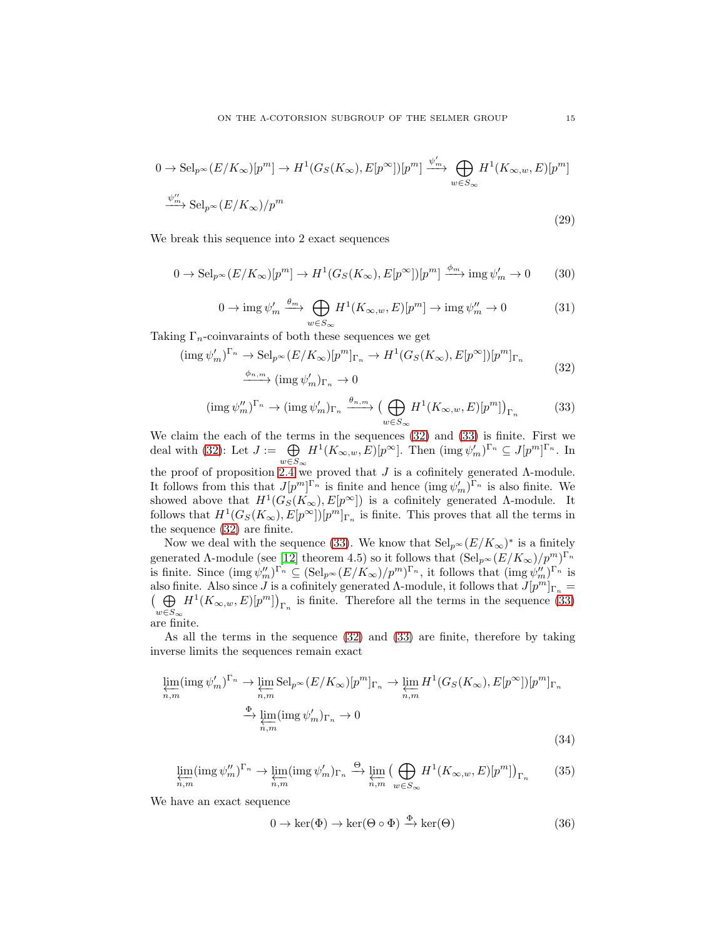$$
0 \to \mathrm{Sel}_{p^{\infty}}(E/K_{\infty})[p^{m}] \to H^{1}(G_{S}(K_{\infty}), E[p^{\infty}])[p^{m}] \xrightarrow{\psi'_{m}} \bigoplus_{w \in S_{\infty}} H^{1}(K_{\infty, w}, E)[p^{m}]
$$
  

$$
\xrightarrow{\psi''_{m}} \mathrm{Sel}_{p^{\infty}}(E/K_{\infty})/p^{m}
$$
\n(29)

We break this sequence into 2 exact sequences

$$
0 \to \mathrm{Sel}_{p^{\infty}}(E/K_{\infty})[p^{m}] \to H^{1}(G_{S}(K_{\infty}), E[p^{\infty}])[p^{m}] \xrightarrow{\phi_{m}} \mathrm{img} \,\psi'_{m} \to 0 \qquad (30)
$$

<span id="page-14-0"></span>
$$
0 \to \operatorname{img}\psi'_m \xrightarrow{\theta_m} \bigoplus_{w \in S_\infty} H^1(K_{\infty,w}, E)[p^m] \to \operatorname{img}\psi''_m \to 0 \tag{31}
$$

Taking  $\Gamma_n$ -coinvaraints of both these sequences we get

$$
(\text{img }\psi'_m)^{\Gamma_n} \to \text{Sel}_{p^{\infty}}(E/K_{\infty})[p^m]_{\Gamma_n} \to H^1(G_S(K_{\infty}), E[p^{\infty}])[p^m]_{\Gamma_n}
$$
  

$$
\xrightarrow{\phi_{n,m}} (\text{img }\psi'_m)_{\Gamma_n} \to 0
$$
\n(32)

<span id="page-14-1"></span>
$$
(\operatorname{img}\psi''_m)^{\Gamma_n} \to (\operatorname{img}\psi'_m)_{\Gamma_n} \xrightarrow{\theta_{n,m}} (\bigoplus_{w \in S_{\infty}} H^1(K_{\infty,w}, E)[p^m])_{\Gamma_n}
$$
(33)

We claim the each of the terms in the sequences [\(32\)](#page-14-0) and [\(33\)](#page-14-1) is finite. First we deal with [\(32\)](#page-14-0): Let  $J := \bigoplus$  $w\in S_\infty$  $H^1(K_{\infty,w}, E)[p^{\infty}].$  Then  $(\text{img }\psi'_m)^{\Gamma_n} \subseteq J[p^m]^{\Gamma_n}$ . In the proof of proposition [2.4](#page-7-0) we proved that  $J$  is a cofinitely generated  $\Lambda$ -module. It follows from this that  $J[p^m]^{n}$  is finite and hence  $(\text{img } \psi'_m)^{n}$  is also finite. We showed above that  $H^1(G_S(K_\infty), E[p^\infty])$  is a cofinitely generated  $\Lambda$ -module. It follows that  $H^1(G_S(K_\infty), E[p^\infty])[p^m]_{\Gamma_n}$  is finite. This proves that all the terms in the sequence [\(32\)](#page-14-0) are finite.

Now we deal with the sequence [\(33\)](#page-14-1). We know that  $\text{Sel}_{p^{\infty}}(E/K_{\infty})^*$  is a finitely generated  $\Lambda$ -module (see [\[12\]](#page-19-10) theorem 4.5) so it follows that  $(\text{Sel}_{p^{\infty}}(E/K_{\infty})/p^{m})^{\Gamma_{n}}$ is finite. Since  $(\text{img }\psi''_m)^{\Gamma_n} \subseteq (\text{Sel}_{p^{\infty}}(E/K_{\infty})/p^m)^{\Gamma_n}$ , it follows that  $(\text{img }\psi''_m)^{\Gamma_n}$  is also finite. Also since J is a cofinitely generated  $\Lambda$ -module, it follows that  $J[p^m]_{\Gamma_n} =$  $(\oplus$  $w\in S_\infty$  $H^1(K_{\infty,w}, E)[p^m]\big)_{\Gamma_n}$  is finite. Therefore all the terms in the sequence [\(33\)](#page-14-1) are finite.

As all the terms in the sequence [\(32\)](#page-14-0) and [\(33\)](#page-14-1) are finite, therefore by taking inverse limits the sequences remain exact

$$
\underbrace{\lim_{n,m}}_{n,m} (\operatorname{img} \psi'_m)^{\Gamma_n} \to \underbrace{\lim_{n,m}}_{n,m} \operatorname{Sel}_{p^{\infty}}(E/K_{\infty})[p^m]_{\Gamma_n} \to \underbrace{\lim_{n,m}}_{n,m} H^1(G_S(K_{\infty}), E[p^{\infty}])[p^m]_{\Gamma_n}
$$
\n
$$
\xrightarrow{\Phi} \underbrace{\lim_{n,m}} (\operatorname{img} \psi'_m)_{\Gamma_n} \to 0
$$
\n(34)

<span id="page-14-4"></span>
$$
\varprojlim_{n,m} (\operatorname{img}\psi_m'')^{\Gamma_n} \to \varprojlim_{n,m} (\operatorname{img}\psi_m')_{\Gamma_n} \xrightarrow{\Theta} \varprojlim_{n,m} \left( \bigoplus_{w \in S_{\infty}} H^1(K_{\infty,w}, E)[p^m] \right)_{\Gamma_n} \tag{35}
$$

We have an exact sequence

<span id="page-14-3"></span><span id="page-14-2"></span>
$$
0 \to \ker(\Phi) \to \ker(\Theta \circ \Phi) \xrightarrow{\Phi} \ker(\Theta) \tag{36}
$$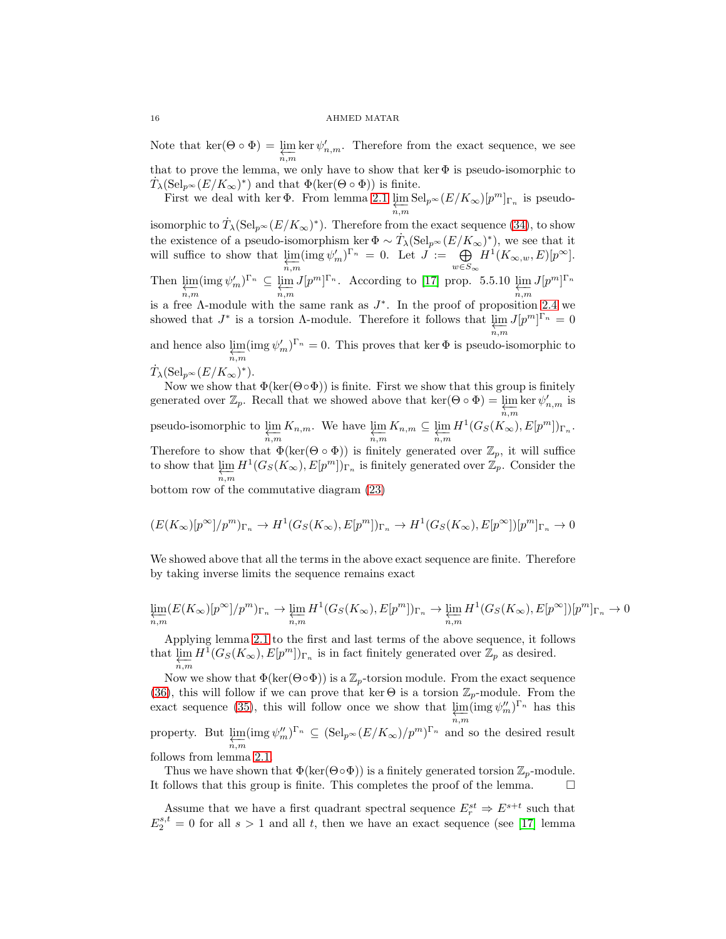Note that ker( $\Theta \circ \Phi$ ) =  $\varprojlim_{n,m} \ker \psi'_{n,m}$ . Therefore from the exact sequence, we see that to prove the lemma, we only have to show that  $\ker\Phi$  is pseudo-isomorphic to

 $\dot{T}_{\lambda}(\mathrm{Sel}_{p^{\infty}}(E/K_{\infty})^*)$  and that  $\Phi(\ker(\Theta \circ \Phi))$  is finite. First we deal with ker  $\Phi$ . From lemma [2.1](#page-2-1)  $\lim_{n,m} \text{Sel}_{p^{\infty}}(E/K_{\infty})[p^m]_{\Gamma_n}$  is pseudo-

isomorphic to  $\dot{T}_{\lambda}(\mathrm{Sel}_{p^{\infty}}(E/K_{\infty})^*)$ . Therefore from the exact sequence [\(34\)](#page-14-2), to show the existence of a pseudo-isomorphism ker  $\Phi \sim T_{\lambda}(\text{Sel}_{p^{\infty}}(E/K_{\infty})^*)$ , we see that it will suffice to show that  $\varprojlim_{n,m} (\text{img } \psi'_m)^{\Gamma_n} = 0$ . Let  $J := \bigoplus_{w \in S}$  $w\in S_\infty$  $H^1(K_{\infty,w},E)[p^{\infty}].$ Then  $\varprojlim_{n,m} (\text{img } \psi'_m)^{\Gamma_n} \subseteq \varprojlim_{n,m}$  $J[p^m]^{r_n}$ . According to [\[17\]](#page-19-8) prop. 5.5.10  $\lim_{n,m} J[p^m]^{r_n}$ is a free  $\Lambda$ -module with the same rank as  $J^*$ . In the proof of proposition [2.4](#page-7-0) we showed that  $J^*$  is a torsion  $\Lambda$ -module. Therefore it follows that  $\lim_{n,m} J[p^m]^{n} = 0$ and hence also  $\lim_{n,m} (\text{img } \psi'_m)^{\Gamma_n} = 0$ . This proves that ker  $\Phi$  is pseudo-isomorphic to

$$
\dot{T}_{\lambda}(\mathrm{Sel}_{p^{\infty}}(E/K_{\infty})^{\ast}).
$$

Now we show that  $\Phi(\ker(\Theta \circ \Phi))$  is finite. First we show that this group is finitely generated over  $\mathbb{Z}_p$ . Recall that we showed above that ker( $\Theta \circ \Phi$ ) =  $\varprojlim_{n,m} \ker \psi'_{n,m}$  is pseudo-isomorphic to  $\varprojlim_{n,m} K_{n,m}$ . We have  $\varprojlim_{n,m} K_{n,m} \subseteq \varprojlim_{n,m} H^1(G_S(K_\infty), E[p^m])_{\Gamma_n}$ . Therefore to show that  $\Phi(\ker(\Theta \circ \Phi))$  is finitely generated over  $\mathbb{Z}_p$ , it will suffice to show that  $\varprojlim_{n,m} H^1(G_S(K_\infty), E[p^m])_{\Gamma_n}$  is finitely generated over  $\mathbb{Z}_p$ . Consider the bottom row of the commutative diagram [\(23\)](#page-11-0)

$$
(E(K_{\infty})[p^{\infty}]/p^m)_{\Gamma_n} \to H^1(G_S(K_{\infty}), E[p^m])_{\Gamma_n} \to H^1(G_S(K_{\infty}), E[p^{\infty}])[p^m]_{\Gamma_n} \to 0
$$

We showed above that all the terms in the above exact sequence are finite. Therefore by taking inverse limits the sequence remains exact

$$
\lim_{\substack{n,m}} (E(K_{\infty})[p^{\infty}]/p^m)_{\Gamma_n} \to \lim_{\substack{n,m}} H^1(G_S(K_{\infty}), E[p^m])_{\Gamma_n} \to \lim_{\substack{n,m}} H^1(G_S(K_{\infty}), E[p^{\infty}])[p^m]_{\Gamma_n} \to 0
$$

Applying lemma [2.1](#page-2-1) to the first and last terms of the above sequence, it follows that  $\lim_{n,m} H^1(G_S(K_\infty), E[p^m])_{\Gamma_n}$  is in fact finitely generated over  $\mathbb{Z}_p$  as desired.

Now we show that  $\Phi(\ker(\Theta \circ \Phi))$  is a  $\mathbb{Z}_p$ -torsion module. From the exact sequence [\(36\)](#page-14-3), this will follow if we can prove that ker  $\Theta$  is a torsion  $\mathbb{Z}_p$ -module. From the exact sequence [\(35\)](#page-14-4), this will follow once we show that  $\lim_{n,m} (\text{img } \psi''_m)^{\Gamma_n}$  has this property. But  $\varprojlim_{n,m} (\text{img } \psi_m'')^{\Gamma_n} \subseteq (\text{Sel}_{p^{\infty}}(E/K_{\infty})/p^m)^{\Gamma_n}$  and so the desired result follows from lemma [2.1.](#page-2-1)

Thus we have shown that  $\Phi(\ker(\Theta \circ \Phi))$  is a finitely generated torsion  $\mathbb{Z}_p$ -module.<br>follows that this group is finite. This completes the proof of the lemma. It follows that this group is finite. This completes the proof of the lemma.

Assume that we have a first quadrant spectral sequence  $E_r^{st} \Rightarrow E^{s+t}$  such that  $E_2^{s,t} = 0$  for all  $s > 1$  and all t, then we have an exact sequence (see [\[17\]](#page-19-8) lemma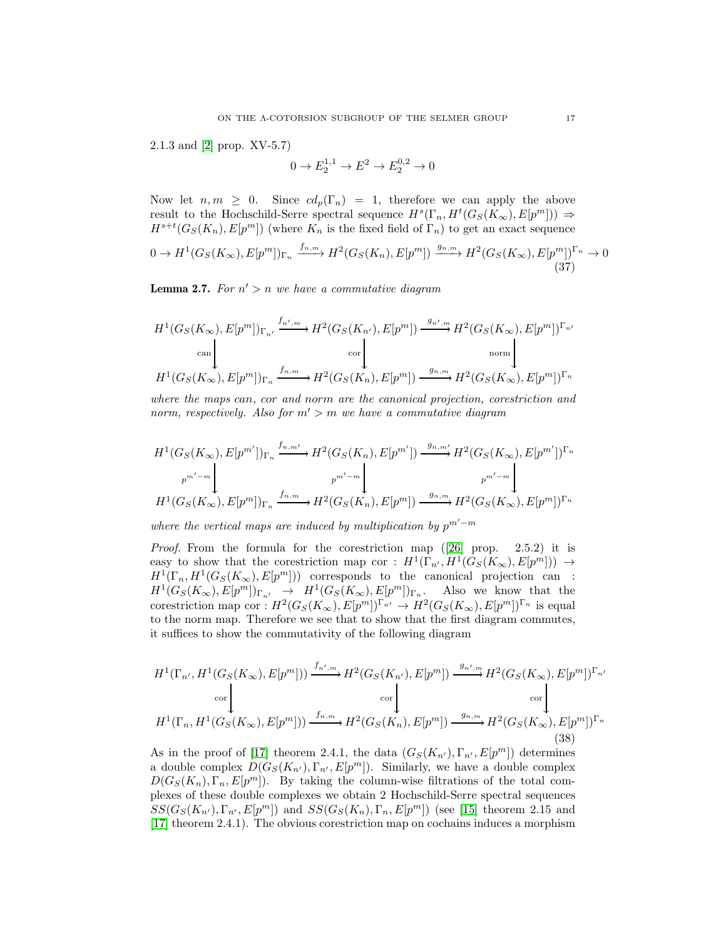2.1.3 and [\[2\]](#page-19-16) prop. XV-5.7)

$$
0 \to E_2^{1,1} \to E^2 \to E_2^{0,2} \to 0
$$

Now let  $n, m \geq 0$ . Since  $cd_p(\Gamma_n) = 1$ , therefore we can apply the above result to the Hochschild-Serre spectral sequence  $H^s(\Gamma_n, H^t(G_S(K_\infty), E[p^m])) \Rightarrow$  $H^{s+t}(G_S(K_n), E[p^m])$  (where  $K_n$  is the fixed field of  $\Gamma_n$ ) to get an exact sequence  $0 \to H^1(G_S(K_\infty), E[p^m])_{\Gamma_n} \xrightarrow{f_{n,m}} H^2(G_S(K_n), E[p^m]) \xrightarrow{g_{n,m}} H^2(G_S(K_\infty), E[p^m])_{\Gamma_n} \to 0$ (37)

<span id="page-16-1"></span>Lemma 2.7. *For* n ′ > n *we have a commutative diagram*

$$
\begin{split} &H^1(G_S(K_\infty),E[p^m])_{\Gamma_{n'}}\xrightarrow{f_{n',m}}H^2(G_S(K_{n'}),E[p^m])\xrightarrow{g_{n',m}}H^2(G_S(K_\infty),E[p^m])^{\Gamma_{n'}}\\ &\text{can} \Bigg\downarrow \qquad \qquad \text{cor} \Bigg\downarrow \qquad \qquad \text{norm} \Bigg\downarrow \qquad \qquad \text{norm} \\ &H^1(G_S(K_\infty),E[p^m])_{\Gamma_n}\xrightarrow{f_{n,m}}H^2(G_S(K_n),E[p^m])\xrightarrow{g_{n,m}}H^2(G_S(K_\infty),E[p^m])^{\Gamma_n} \end{split}
$$

*where the maps* can*,* cor *and* norm *are the canonical projection, corestriction and norm, respectively. Also for*  $m' > m$  *we have a commutative diagram* 

$$
H^1(G_S(K_{\infty}), E[p^{m'}])_{\Gamma_n} \xrightarrow{f_{n,m'}} H^2(G_S(K_n), E[p^{m'}]) \xrightarrow{g_{n,m'}} H^2(G_S(K_{\infty}), E[p^{m'}])_{\Gamma_n}
$$
  
\n
$$
p^{m'-m} \Bigg\downarrow p^{m'-m} \Bigg\downarrow p^{m'-m} \Bigg\downarrow p^{m'-m} \Bigg\downarrow p^{m'-m} \Bigg\downarrow p^{m'-m} \Bigg\downarrow p^{m'-m} \Bigg\downarrow p^{m'-m} \Bigg\downarrow p^{m'}(G_S(K_{\infty}), E[p^{m'}])_{\Gamma_n}
$$

*where the vertical maps are induced by multiplication by*  $p^{m'-m}$ 

*Proof.*From the formula for the corestriction map ([\[26\]](#page-20-5) prop. 2.5.2) it is easy to show that the corestriction map cor :  $H^1(\Gamma_{n'}, H^1(G_S(K_\infty), E[p^m])) \rightarrow$  $H^1(\Gamma_n, H^1(G_S(K_\infty), E[p^m]))$  corresponds to the canonical projection can:  $H^1(G_S(K_\infty), E[p^m])_{\Gamma_{n'}} \rightarrow H^1(G_S(K_\infty), E[p^m])_{\Gamma_{n'}}$ . Also we know that the corestriction map cor :  $H^2(G_S(K_\infty), E[p^m])^{\Gamma_{n'}} \to H^2(G_S(K_\infty), E[p^m])^{\Gamma_n}$  is equal to the norm map. Therefore we see that to show that the first diagram commutes, it suffices to show the commutativity of the following diagram

<span id="page-16-0"></span>
$$
H^{1}(\Gamma_{n'}, H^{1}(G_{S}(K_{\infty}), E[p^{m}])) \xrightarrow{f_{n',m}} H^{2}(G_{S}(K_{n'}), E[p^{m}]) \xrightarrow{g_{n',m}} H^{2}(G_{S}(K_{\infty}), E[p^{m}])^{\Gamma_{n'}} \text{cor} \downarrow
$$
  
\n
$$
H^{1}(\Gamma_{n}, H^{1}(G_{S}(K_{\infty}), E[p^{m}])) \xrightarrow{f_{n,m}} H^{2}(G_{S}(K_{n}), E[p^{m}]) \xrightarrow{g_{n,m}} H^{2}(G_{S}(K_{\infty}), E[p^{m}])^{\Gamma_{n}} \tag{38}
$$

As in the proof of [\[17\]](#page-19-8) theorem 2.4.1, the data  $(G_S(K_{n'}), \Gamma_{n'}, E[p^m])$  determines a double complex  $D(G_S(K_{n'}), \Gamma_{n'}, E[p^m])$ . Similarly, we have a double complex  $D(G_S(K_n), \Gamma_n, E[p^m])$ . By taking the column-wise filtrations of the total complexes of these double complexes we obtain 2 Hochschild-Serre spectral sequences  $SS(G_S(K_{n'}), \Gamma_{n'}, E[p^m])$  and  $SS(G_S(K_n), \Gamma_n, E[p^m])$  (see [\[15\]](#page-19-17) theorem 2.15 and [\[17\]](#page-19-8) theorem 2.4.1). The obvious corestriction map on cochains induces a morphism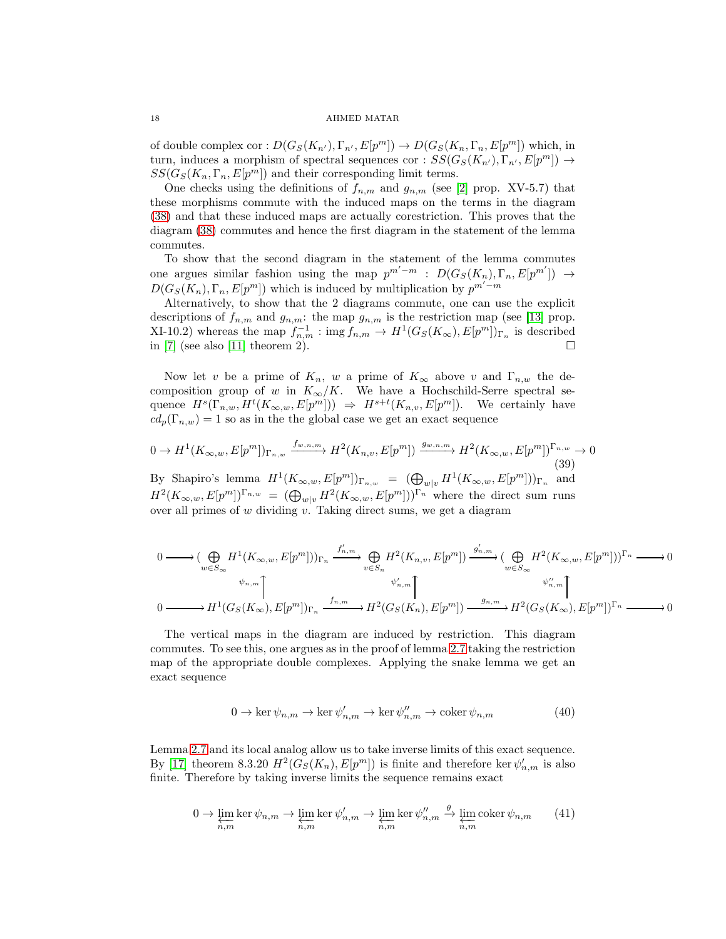of double complex cor :  $D(G_S(K_{n'}), \Gamma_{n'}, E[p^m]) \to D(G_S(K_n, \Gamma_n, E[p^m])$  which, in turn, induces a morphism of spectral sequences cor :  $SS(G_S(K_{n'}), \Gamma_{n'}, E[p^m]) \rightarrow$  $SS(G_S(K_n, \Gamma_n, E[p^m])$  and their corresponding limit terms.

One checks using the definitions of  $f_{n,m}$  and  $g_{n,m}$  (see [\[2\]](#page-19-16) prop. XV-5.7) that these morphisms commute with the induced maps on the terms in the diagram [\(38\)](#page-16-0) and that these induced maps are actually corestriction. This proves that the diagram [\(38\)](#page-16-0) commutes and hence the first diagram in the statement of the lemma commutes.

To show that the second diagram in the statement of the lemma commutes one argues similar fashion using the map  $p^{m'-m}$  :  $D(G_S(K_n), \Gamma_n, E[p^{m'}]) \rightarrow$  $D(G_S(K_n), \Gamma_n, E[p^m])$  which is induced by multiplication by  $p^{m'-m}$ 

Alternatively, to show that the 2 diagrams commute, one can use the explicit descriptions of  $f_{n,m}$  and  $g_{n,m}$ : the map  $g_{n,m}$  is the restriction map (see [\[13\]](#page-19-18) prop. XI-10.2) whereas the map  $f_{n,m}^{-1}$ : img $f_{n,m} \to H^1(G_S(K_\infty), E[p^m])_{\Gamma_n}$  is described in [\[7\]](#page-19-19) (see also [\[11\]](#page-19-20) theorem 2).  $\square$ 

Now let v be a prime of  $K_n$ , w a prime of  $K_\infty$  above v and  $\Gamma_{n,w}$  the decomposition group of w in  $K_{\infty}/K$ . We have a Hochschild-Serre spectral sequence  $H^s(\Gamma_{n,w}, H^t(K_{\infty,w}, E[p^m])) \Rightarrow H^{s+t}(K_{n,v}, E[p^m])$ . We certainly have  $cd_p(\Gamma_{n,w}) = 1$  so as in the the global case we get an exact sequence

$$
0 \to H^1(K_{\infty,w}, E[p^m])_{\Gamma_{n,w}} \xrightarrow{f_{w,n,m}} H^2(K_{n,v}, E[p^m]) \xrightarrow{g_{w,n,m}} H^2(K_{\infty,w}, E[p^m])_{\Gamma_{n,w}} \to 0
$$
\n(39)

By Shapiro's lemma  $H^1(K_{\infty,w}, E[p^m])_{\Gamma_{n,w}} = (\bigoplus_{w|v} H^1(K_{\infty,w}, E[p^m]))_{\Gamma_n}$  and  $H^2(K_{\infty,w}, E[p^m])^{\Gamma_{n,w}} = (\bigoplus_{w|v} H^2(K_{\infty,w}, E[p^m]))^{\Gamma_n}$  where the direct sum runs over all primes of  $w$  dividing  $v$ . Taking direct sums, we get a diagram

$$
\begin{aligned}\n0 &\longrightarrow (\bigoplus_{w\in S_{\infty}} H^{1}(K_{\infty,w}, E[p^{m}]))_{\Gamma_{n}} \xrightarrow{f'_{n,m}} \bigoplus_{v\in S_{n}} H^{2}(K_{n,v}, E[p^{m}]) \xrightarrow{g'_{n,m}} (\bigoplus_{w\in S_{\infty}} H^{2}(K_{\infty,w}, E[p^{m}]))^{\Gamma_{n}} \longrightarrow 0 \\
0 &\longrightarrow H^{1}(G_{S}(K_{\infty}), E[p^{m}])_{\Gamma_{n}} \xrightarrow{f_{n,m}} H^{2}(G_{S}(K_{n}), E[p^{m}]) \xrightarrow{g_{n,m}} H^{2}(G_{S}(K_{\infty}), E[p^{m}])^{\Gamma_{n}} \longrightarrow 0\n\end{aligned}
$$

The vertical maps in the diagram are induced by restriction. This diagram commutes. To see this, one argues as in the proof of lemma [2.7](#page-16-1) taking the restriction map of the appropriate double complexes. Applying the snake lemma we get an exact sequence

$$
0 \to \ker \psi_{n,m} \to \ker \psi'_{n,m} \to \ker \psi''_{n,m} \to \operatorname{coker} \psi_{n,m}
$$
(40)

Lemma [2.7](#page-16-1) and its local analog allow us to take inverse limits of this exact sequence. By [\[17\]](#page-19-8) theorem 8.3.20  $H^2(G_S(K_n), E[p^m])$  is finite and therefore ker $\psi'_{n,m}$  is also finite. Therefore by taking inverse limits the sequence remains exact

<span id="page-17-0"></span>
$$
0 \to \varprojlim_{n,m} \ker \psi_{n,m} \to \varprojlim_{n,m} \ker \psi'_{n,m} \to \varprojlim_{n,m} \ker \psi''_{n,m} \stackrel{\theta}{\to} \varprojlim_{n,m} \operatorname{coker} \psi_{n,m} \tag{41}
$$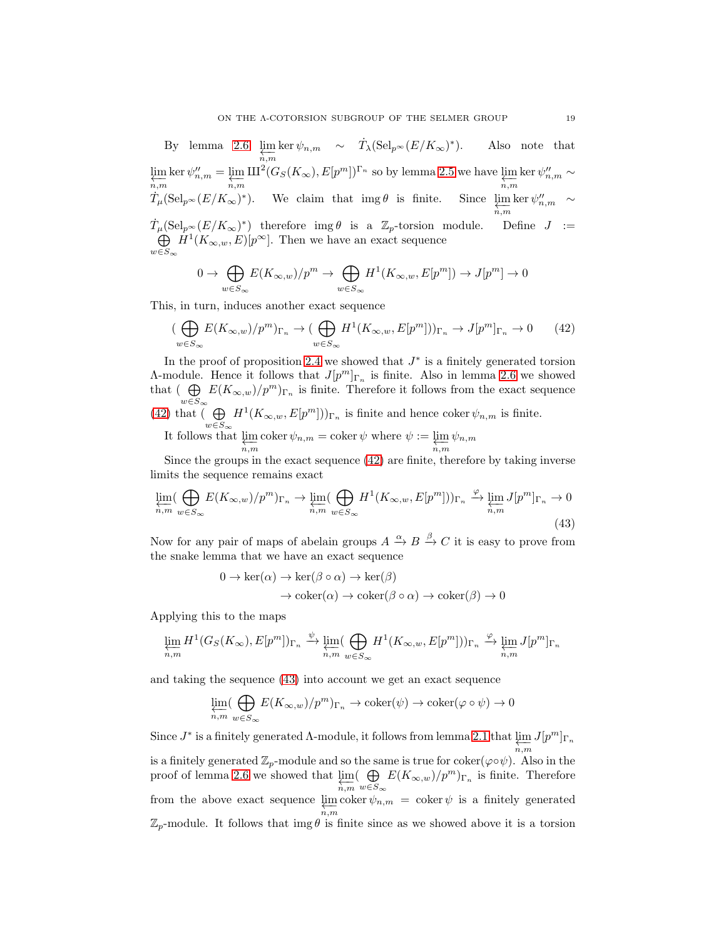By lemma [2.6](#page-11-2)  $\varprojlim_{n,m} \ker \psi_{n,m} \sim \dot{T}_\lambda (\mathrm{Sel}_{p^\infty}(E/K_\infty)^*)$ . Also note that lim ←−n,m  $\ker \psi''_{n,m} = \varprojlim_{n,m}$  $\text{III}^2(G_S(K_\infty), E[p^m])^{\Gamma_n}$  so by lemma [2.5](#page-8-0) we have  $\varprojlim_{n,m} \ker \psi''_{n,m} \sim$  $\dot{T}_{\mu}(\text{Sel}_{p^{\infty}}(E/K_{\infty})^*)$ . We claim that  $\text{img }\theta$  is finite. Since  $\varprojlim_{n,m} \ker \psi''_{n,m} \sim$  $\dot{T}_{\mu}(\text{Sel}_{p^{\infty}}(E/K_{\infty})^*)$  therefore img  $\theta$  is a  $\mathbb{Z}_p$ -torsion module. Define  $J :=$  $\bigoplus H^1(K_{\infty,w},E)[p^{\infty}].$  Then we have an exact sequence  $w\in S_\infty$ 

$$
0 \to \bigoplus_{w \in S_{\infty}} E(K_{\infty,w})/p^m \to \bigoplus_{w \in S_{\infty}} H^1(K_{\infty,w}, E[p^m]) \to J[p^m] \to 0
$$

This, in turn, induces another exact sequence

<span id="page-18-0"></span>
$$
\left(\bigoplus_{w\in S_{\infty}} E(K_{\infty,w})/p^m\right)_{\Gamma_n} \to \left(\bigoplus_{w\in S_{\infty}} H^1(K_{\infty,w}, E[p^m])\right)_{\Gamma_n} \to J[p^m]_{\Gamma_n} \to 0\tag{42}
$$

In the proof of proposition [2.4](#page-7-0) we showed that  $J^*$  is a finitely generated torsion A-module. Hence it follows that  $J[p^m]_{\Gamma_n}$  is finite. Also in lemma [2.6](#page-11-2) we showed that  $(\bigoplus E(K_{\infty,w})/p^m)_{\Gamma_n}$  is finite. Therefore it follows from the exact sequence  $w\!\in\!S_\infty$  $(42)$  that  $\left(\begin{array}{c}\right)$  $H^1(K_{\infty,w}, E[p^m]))_{\Gamma_n}$  is finite and hence coker  $\psi_{n,m}$  is finite.

 $w \in S_{\infty}$ It follows that  $\varprojlim_{n,m} \operatorname{coker} \psi_{n,m} = \operatorname{coker} \psi$  where  $\psi := \varprojlim_{n,m}$ ←−n,m  $\psi_{n,m}$ 

Since the groups in the exact sequence [\(42\)](#page-18-0) are finite, therefore by taking inverse limits the sequence remains exact

<span id="page-18-1"></span>
$$
\varprojlim_{n,m} (\bigoplus_{w \in S_{\infty}} E(K_{\infty,w})/p^m)_{\Gamma_n} \to \varprojlim_{n,m} (\bigoplus_{w \in S_{\infty}} H^1(K_{\infty,w}, E[p^m]))_{\Gamma_n} \xrightarrow{\varphi} \varprojlim_{n,m} J[p^m]_{\Gamma_n} \to 0
$$
\n(43)

Now for any pair of maps of abelain groups  $A \xrightarrow{\alpha} B \xrightarrow{\beta} C$  it is easy to prove from the snake lemma that we have an exact sequence

$$
0 \to \ker(\alpha) \to \ker(\beta \circ \alpha) \to \ker(\beta)
$$
  

$$
\to \operatorname{coker}(\alpha) \to \operatorname{coker}(\beta \circ \alpha) \to \operatorname{coker}(\beta) \to 0
$$

Applying this to the maps

$$
\varprojlim_{n,m} H^1(G_S(K_\infty), E[p^m])_{\Gamma_n} \xrightarrow{\psi} \varprojlim_{n,m} (\bigoplus_{w \in S_\infty} H^1(K_{\infty,w}, E[p^m]))_{\Gamma_n} \xrightarrow{\varphi} \varprojlim_{n,m} J[p^m]_{\Gamma_n}
$$

and taking the sequence [\(43\)](#page-18-1) into account we get an exact sequence

$$
\varprojlim_{n,m}(\bigoplus_{w\in S_\infty}E(K_{\infty,w})/p^m)_{\Gamma_n}\to \mathrm{coker}(\psi)\to \mathrm{coker}(\varphi\circ\psi)\to 0
$$

Since  $J^*$  is a finitely generated  $\Lambda$ -module, it follows from lemma [2.1](#page-2-1) that  $\lim_{n,m} J[p^m]_{\Gamma_n}$ is a finitely generated  $\mathbb{Z}_p$ -module and so the same is true for coker( $\varphi \circ \psi$ ). Also in the proof of lemma [2.6](#page-11-2) we showed that  $\varprojlim_{n,m} (\bigoplus_{w \in S_n}$  $\bigoplus_{w \in S_{\infty}} E(K_{\infty,w})/p^m)_{\Gamma_n}$  is finite. Therefore from the above exact sequence  $\lim_{n,m}$  coker  $\psi_{n,m}$  = coker  $\psi$  is a finitely generated  $\mathbb{Z}_p$ -module. It follows that img  $\theta$  is finite since as we showed above it is a torsion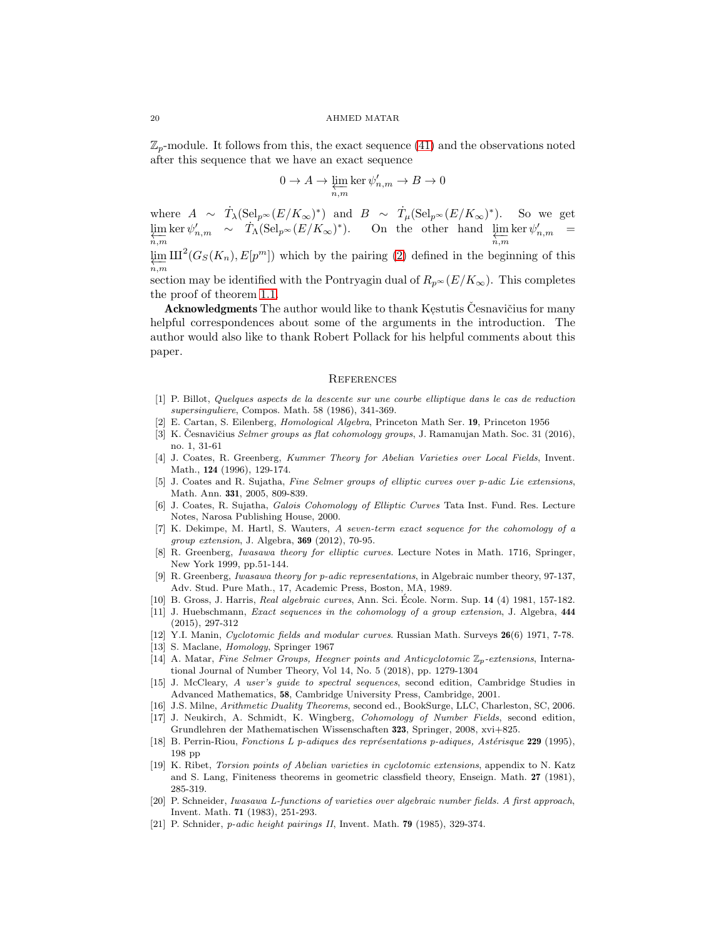$\mathbb{Z}_p$ -module. It follows from this, the exact sequence [\(41\)](#page-17-0) and the observations noted after this sequence that we have an exact sequence

$$
0\to A\to\varprojlim_{n,m}\ker\psi_{n,m}'\to B\to 0
$$

where  $A \sim \dot{T}_{\lambda}(\text{Sel}_{p^{\infty}}(E/K_{\infty})^*)$  and  $B \sim \dot{T}_{\mu}(\text{Sel}_{p^{\infty}}(E/K_{\infty})^*)$ . So we get  $\varprojlim_{n,m} \ker \psi'_{n,m} \sim \dot{T}_{\Lambda} (\mathrm{Sel}_{p^{\infty}}(E/K_{\infty})^*)$ . On the other hand  $\varprojlim_{n,m} \ker \psi'_{n,m} =$  $\overline{n,m}$ 

lim ←−n,m  $\mathrm{III}^2(G_S(K_n), E[p^m])$  which by the pairing [\(2\)](#page-3-1) defined in the beginning of this

section may be identified with the Pontryagin dual of  $R_{p^{\infty}}(E/K_{\infty})$ . This completes the proof of theorem [1.1.](#page-0-0)

 ${\bf Acknowledgments}$  The author would like to thank Kęstutis Česnavičius for many helpful correspondences about some of the arguments in the introduction. The author would also like to thank Robert Pollack for his helpful comments about this paper.

## **REFERENCES**

- <span id="page-19-6"></span>[1] P. Billot, Quelques aspects de la descente sur une courbe elliptique dans le cas de reduction supersinguliere, Compos. Math. 58 (1986), 341-369.
- <span id="page-19-16"></span><span id="page-19-2"></span>[2] E. Cartan, S. Eilenberg, Homological Algebra, Princeton Math Ser. 19, Princeton 1956
- [3] K. Česnavičius *Selmer groups as flat cohomology groups*, J. Ramanujan Math. Soc. 31 (2016), no. 1, 31-61
- <span id="page-19-11"></span>[4] J. Coates, R. Greenberg, Kummer Theory for Abelian Varieties over Local Fields, Invent. Math., 124 (1996), 129-174.
- <span id="page-19-0"></span>[5] J. Coates and R. Sujatha, Fine Selmer groups of elliptic curves over p-adic Lie extensions, Math. Ann. 331, 2005, 809-839.
- <span id="page-19-13"></span>[6] J. Coates, R. Sujatha, Galois Cohomology of Elliptic Curves Tata Inst. Fund. Res. Lecture Notes, Narosa Publishing House, 2000.
- <span id="page-19-19"></span>[7] K. Dekimpe, M. Hartl, S. Wauters, A seven-term exact sequence for the cohomology of a group extension, J. Algebra, 369 (2012), 70-95.
- <span id="page-19-12"></span>[8] R. Greenberg, Iwasawa theory for elliptic curves. Lecture Notes in Math. 1716, Springer, New York 1999, pp.51-144.
- <span id="page-19-3"></span>[9] R. Greenberg, Iwasawa theory for p-adic representations, in Algebraic number theory, 97-137, Adv. Stud. Pure Math., 17, Academic Press, Boston, MA, 1989.
- <span id="page-19-20"></span><span id="page-19-14"></span>[10] B. Gross, J. Harris, Real algebraic curves, Ann. Sci. École. Norm. Sup. 14 (4) 1981, 157-182.
- [11] J. Huebschmann, *Exact sequences in the cohomology of a group extension*, J. Algebra, 444 (2015), 297-312
- <span id="page-19-18"></span><span id="page-19-10"></span>[12] Y.I. Manin, Cyclotomic fields and modular curves. Russian Math. Surveys 26(6) 1971, 7-78.
- <span id="page-19-1"></span>[13] S. Maclane, Homology, Springer 1967
- [14] A. Matar, Fine Selmer Groups, Heegner points and Anticyclotomic  $\mathbb{Z}_p$ -extensions, International Journal of Number Theory, Vol 14, No. 5 (2018), pp. 1279-1304
- <span id="page-19-17"></span>[15] J. McCleary, A user's guide to spectral sequences, second edition, Cambridge Studies in Advanced Mathematics, 58, Cambridge University Press, Cambridge, 2001.
- <span id="page-19-15"></span><span id="page-19-8"></span>[16] J.S. Milne, Arithmetic Duality Theorems, second ed., BookSurge, LLC, Charleston, SC, 2006.
- [17] J. Neukirch, A. Schmidt, K. Wingberg, Cohomology of Number Fields, second edition, Grundlehren der Mathematischen Wissenschaften 323, Springer, 2008, xvi+825.
- <span id="page-19-9"></span>[18] B. Perrin-Riou, Fonctions L p-adiques des représentations p-adiques, Astérisque 229 (1995), 198 pp
- <span id="page-19-7"></span>[19] K. Ribet, Torsion points of Abelian varieties in cyclotomic extensions, appendix to N. Katz and S. Lang, Finiteness theorems in geometric classfield theory, Enseign. Math. 27 (1981), 285-319.
- <span id="page-19-5"></span>[20] P. Schneider, Iwasawa L-functions of varieties over algebraic number fields. A first approach, Invent. Math. 71 (1983), 251-293.
- <span id="page-19-4"></span>[21] P. Schnider, p-adic height pairings II, Invent. Math. 79 (1985), 329-374.